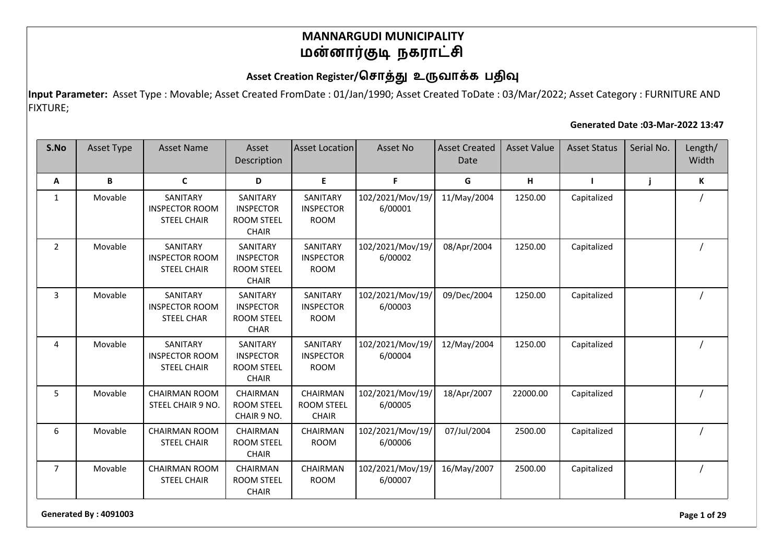### Asset Creation Register/சொத்து உருவாக்க பதிவு

**Input Parameter:** Asset Type : Movable; Asset Created FromDate : 01/Jan/1990; Asset Created ToDate : 03/Mar/2022; Asset Category : FURNITURE AND FIXTURE;

#### **Generated Date :03-Mar-2022 13:47**

| S.No           | <b>Asset Type</b> | <b>Asset Name</b>                                       | Asset<br>Description                                              | <b>Asset Location</b>                         | Asset No                    | <b>Asset Created</b><br>Date | <b>Asset Value</b> | <b>Asset Status</b> | Serial No. | Length/<br>Width |
|----------------|-------------------|---------------------------------------------------------|-------------------------------------------------------------------|-----------------------------------------------|-----------------------------|------------------------------|--------------------|---------------------|------------|------------------|
| Α              | B                 | $\mathbf{C}$                                            | D                                                                 | E                                             | F                           | G                            | H                  |                     | j          | К                |
| $\mathbf{1}$   | Movable           | SANITARY<br><b>INSPECTOR ROOM</b><br><b>STEEL CHAIR</b> | SANITARY<br><b>INSPECTOR</b><br><b>ROOM STEEL</b><br><b>CHAIR</b> | SANITARY<br><b>INSPECTOR</b><br><b>ROOM</b>   | 102/2021/Mov/19/<br>6/00001 | 11/May/2004                  | 1250.00            | Capitalized         |            |                  |
| $\overline{2}$ | Movable           | SANITARY<br><b>INSPECTOR ROOM</b><br><b>STEEL CHAIR</b> | SANITARY<br><b>INSPECTOR</b><br><b>ROOM STEEL</b><br><b>CHAIR</b> | SANITARY<br><b>INSPECTOR</b><br><b>ROOM</b>   | 102/2021/Mov/19/<br>6/00002 | 08/Apr/2004                  | 1250.00            | Capitalized         |            |                  |
| 3              | Movable           | SANITARY<br><b>INSPECTOR ROOM</b><br><b>STEEL CHAR</b>  | SANITARY<br><b>INSPECTOR</b><br><b>ROOM STEEL</b><br><b>CHAR</b>  | SANITARY<br><b>INSPECTOR</b><br><b>ROOM</b>   | 102/2021/Mov/19/<br>6/00003 | 09/Dec/2004                  | 1250.00            | Capitalized         |            |                  |
| 4              | Movable           | SANITARY<br><b>INSPECTOR ROOM</b><br><b>STEEL CHAIR</b> | SANITARY<br><b>INSPECTOR</b><br><b>ROOM STEEL</b><br><b>CHAIR</b> | SANITARY<br><b>INSPECTOR</b><br><b>ROOM</b>   | 102/2021/Mov/19/<br>6/00004 | 12/May/2004                  | 1250.00            | Capitalized         |            |                  |
| 5              | Movable           | <b>CHAIRMAN ROOM</b><br>STEEL CHAIR 9 NO.               | CHAIRMAN<br><b>ROOM STEEL</b><br>CHAIR 9 NO.                      | CHAIRMAN<br><b>ROOM STEEL</b><br><b>CHAIR</b> | 102/2021/Mov/19/<br>6/00005 | 18/Apr/2007                  | 22000.00           | Capitalized         |            |                  |
| 6              | Movable           | <b>CHAIRMAN ROOM</b><br><b>STEEL CHAIR</b>              | CHAIRMAN<br><b>ROOM STEEL</b><br><b>CHAIR</b>                     | <b>CHAIRMAN</b><br><b>ROOM</b>                | 102/2021/Mov/19/<br>6/00006 | 07/Jul/2004                  | 2500.00            | Capitalized         |            |                  |
| $\overline{7}$ | Movable           | <b>CHAIRMAN ROOM</b><br><b>STEEL CHAIR</b>              | CHAIRMAN<br><b>ROOM STEEL</b><br><b>CHAIR</b>                     | CHAIRMAN<br><b>ROOM</b>                       | 102/2021/Mov/19/<br>6/00007 | 16/May/2007                  | 2500.00            | Capitalized         |            |                  |

**Generated By : 4091003 Page 1 of 29**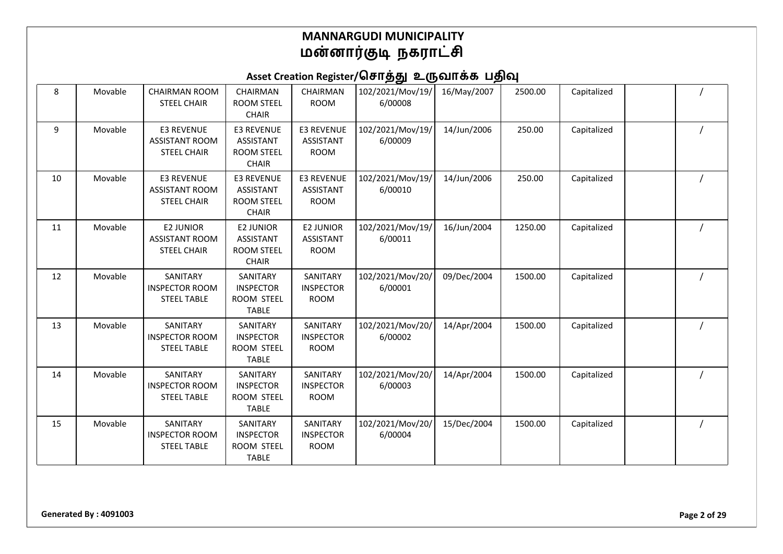| 8  | Movable | <b>CHAIRMAN ROOM</b><br><b>STEEL CHAIR</b>                       | CHAIRMAN<br><b>ROOM STEEL</b><br><b>CHAIR</b>                              | CHAIRMAN<br><b>ROOM</b>                              | 102/2021/Mov/19/<br>6/00008 | 16/May/2007 | 2500.00 | Capitalized |  |
|----|---------|------------------------------------------------------------------|----------------------------------------------------------------------------|------------------------------------------------------|-----------------------------|-------------|---------|-------------|--|
| 9  | Movable | <b>E3 REVENUE</b><br><b>ASSISTANT ROOM</b><br><b>STEEL CHAIR</b> | <b>E3 REVENUE</b><br><b>ASSISTANT</b><br><b>ROOM STEEL</b><br><b>CHAIR</b> | <b>E3 REVENUE</b><br><b>ASSISTANT</b><br><b>ROOM</b> | 102/2021/Mov/19/<br>6/00009 | 14/Jun/2006 | 250.00  | Capitalized |  |
| 10 | Movable | <b>E3 REVENUE</b><br><b>ASSISTANT ROOM</b><br><b>STEEL CHAIR</b> | <b>E3 REVENUE</b><br><b>ASSISTANT</b><br><b>ROOM STEEL</b><br><b>CHAIR</b> | <b>E3 REVENUE</b><br><b>ASSISTANT</b><br><b>ROOM</b> | 102/2021/Mov/19/<br>6/00010 | 14/Jun/2006 | 250.00  | Capitalized |  |
| 11 | Movable | <b>E2 JUNIOR</b><br><b>ASSISTANT ROOM</b><br><b>STEEL CHAIR</b>  | <b>E2 JUNIOR</b><br><b>ASSISTANT</b><br><b>ROOM STEEL</b><br><b>CHAIR</b>  | <b>E2 JUNIOR</b><br><b>ASSISTANT</b><br><b>ROOM</b>  | 102/2021/Mov/19/<br>6/00011 | 16/Jun/2004 | 1250.00 | Capitalized |  |
| 12 | Movable | SANITARY<br><b>INSPECTOR ROOM</b><br><b>STEEL TABLE</b>          | SANITARY<br><b>INSPECTOR</b><br>ROOM STEEL<br><b>TABLE</b>                 | SANITARY<br><b>INSPECTOR</b><br>ROOM                 | 102/2021/Mov/20/<br>6/00001 | 09/Dec/2004 | 1500.00 | Capitalized |  |
| 13 | Movable | SANITARY<br><b>INSPECTOR ROOM</b><br><b>STEEL TABLE</b>          | SANITARY<br><b>INSPECTOR</b><br><b>ROOM STEEL</b><br><b>TABLE</b>          | SANITARY<br><b>INSPECTOR</b><br><b>ROOM</b>          | 102/2021/Mov/20/<br>6/00002 | 14/Apr/2004 | 1500.00 | Capitalized |  |
| 14 | Movable | SANITARY<br><b>INSPECTOR ROOM</b><br><b>STEEL TABLE</b>          | SANITARY<br><b>INSPECTOR</b><br>ROOM STEEL<br><b>TABLE</b>                 | SANITARY<br><b>INSPECTOR</b><br><b>ROOM</b>          | 102/2021/Mov/20/<br>6/00003 | 14/Apr/2004 | 1500.00 | Capitalized |  |
| 15 | Movable | SANITARY<br><b>INSPECTOR ROOM</b><br><b>STEEL TABLE</b>          | SANITARY<br><b>INSPECTOR</b><br>ROOM STEEL<br><b>TABLE</b>                 | SANITARY<br><b>INSPECTOR</b><br><b>ROOM</b>          | 102/2021/Mov/20/<br>6/00004 | 15/Dec/2004 | 1500.00 | Capitalized |  |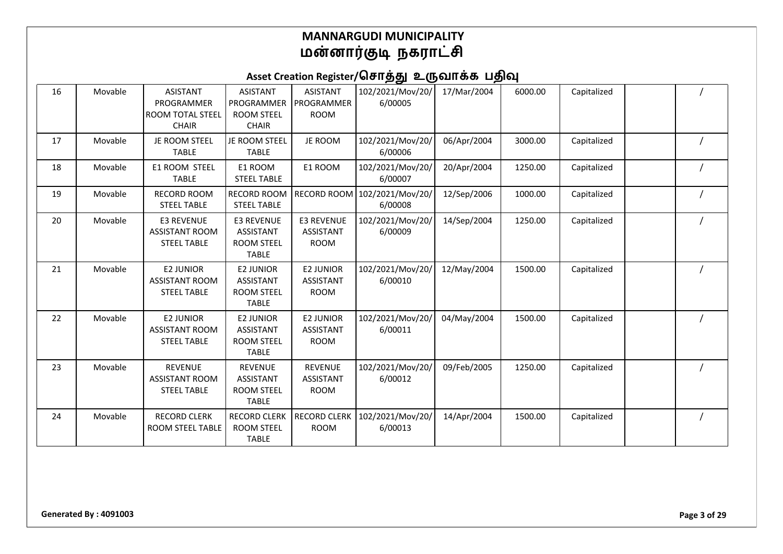| 16 | Movable | <b>ASISTANT</b><br>PROGRAMMER<br><b>ROOM TOTAL STEEL</b><br><b>CHAIR</b> | <b>ASISTANT</b><br>PROGRAMMER<br><b>ROOM STEEL</b><br><b>CHAIR</b>        | <b>ASISTANT</b><br>PROGRAMMER<br><b>ROOM</b>         | 102/2021/Mov/20/<br>6/00005 | 17/Mar/2004 | 6000.00 | Capitalized |  |
|----|---------|--------------------------------------------------------------------------|---------------------------------------------------------------------------|------------------------------------------------------|-----------------------------|-------------|---------|-------------|--|
| 17 | Movable | JE ROOM STEEL<br><b>TABLE</b>                                            | JE ROOM STEEL<br><b>TABLE</b>                                             | JE ROOM                                              | 102/2021/Mov/20/<br>6/00006 | 06/Apr/2004 | 3000.00 | Capitalized |  |
| 18 | Movable | E1 ROOM STEEL<br><b>TABLE</b>                                            | E1 ROOM<br><b>STEEL TABLE</b>                                             | E1 ROOM                                              | 102/2021/Mov/20/<br>6/00007 | 20/Apr/2004 | 1250.00 | Capitalized |  |
| 19 | Movable | <b>RECORD ROOM</b><br><b>STEEL TABLE</b>                                 | <b>RECORD ROOM</b><br><b>STEEL TABLE</b>                                  | <b>RECORD ROOM</b>                                   | 102/2021/Mov/20/<br>6/00008 | 12/Sep/2006 | 1000.00 | Capitalized |  |
| 20 | Movable | <b>E3 REVENUE</b><br><b>ASSISTANT ROOM</b><br><b>STEEL TABLE</b>         | <b>E3 REVENUE</b><br>ASSISTANT<br><b>ROOM STEEL</b><br><b>TABLE</b>       | <b>E3 REVENUE</b><br><b>ASSISTANT</b><br><b>ROOM</b> | 102/2021/Mov/20/<br>6/00009 | 14/Sep/2004 | 1250.00 | Capitalized |  |
| 21 | Movable | <b>E2 JUNIOR</b><br><b>ASSISTANT ROOM</b><br><b>STEEL TABLE</b>          | <b>E2 JUNIOR</b><br><b>ASSISTANT</b><br><b>ROOM STEEL</b><br><b>TABLE</b> | <b>E2 JUNIOR</b><br><b>ASSISTANT</b><br><b>ROOM</b>  | 102/2021/Mov/20/<br>6/00010 | 12/May/2004 | 1500.00 | Capitalized |  |
| 22 | Movable | <b>E2 JUNIOR</b><br><b>ASSISTANT ROOM</b><br><b>STEEL TABLE</b>          | <b>E2 JUNIOR</b><br><b>ASSISTANT</b><br><b>ROOM STEEL</b><br><b>TABLE</b> | <b>E2 JUNIOR</b><br><b>ASSISTANT</b><br><b>ROOM</b>  | 102/2021/Mov/20/<br>6/00011 | 04/May/2004 | 1500.00 | Capitalized |  |
| 23 | Movable | <b>REVENUE</b><br><b>ASSISTANT ROOM</b><br><b>STEEL TABLE</b>            | <b>REVENUE</b><br><b>ASSISTANT</b><br><b>ROOM STEEL</b><br><b>TABLE</b>   | <b>REVENUE</b><br><b>ASSISTANT</b><br><b>ROOM</b>    | 102/2021/Mov/20/<br>6/00012 | 09/Feb/2005 | 1250.00 | Capitalized |  |
| 24 | Movable | <b>RECORD CLERK</b><br>ROOM STEEL TABLE                                  | <b>RECORD CLERK</b><br><b>ROOM STEEL</b><br><b>TABLE</b>                  | <b>RECORD CLERK</b><br><b>ROOM</b>                   | 102/2021/Mov/20/<br>6/00013 | 14/Apr/2004 | 1500.00 | Capitalized |  |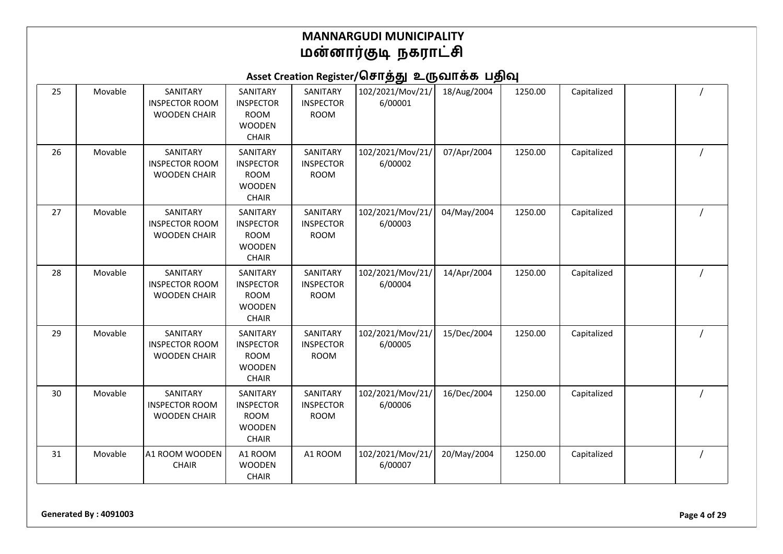Asset Creation Register/சொத்து உருவாக்க பதிவு

| 25 | Movable | SANITARY<br><b>INSPECTOR ROOM</b><br><b>WOODEN CHAIR</b> | SANITARY<br><b>INSPECTOR</b><br><b>ROOM</b><br><b>WOODEN</b><br><b>CHAIR</b> | SANITARY<br><b>INSPECTOR</b><br><b>ROOM</b> | 102/2021/Mov/21/<br>6/00001 | 18/Aug/2004 | 1250.00 | Capitalized |  |
|----|---------|----------------------------------------------------------|------------------------------------------------------------------------------|---------------------------------------------|-----------------------------|-------------|---------|-------------|--|
| 26 | Movable | SANITARY<br><b>INSPECTOR ROOM</b><br><b>WOODEN CHAIR</b> | SANITARY<br><b>INSPECTOR</b><br><b>ROOM</b><br><b>WOODEN</b><br><b>CHAIR</b> | SANITARY<br><b>INSPECTOR</b><br><b>ROOM</b> | 102/2021/Mov/21/<br>6/00002 | 07/Apr/2004 | 1250.00 | Capitalized |  |
| 27 | Movable | SANITARY<br><b>INSPECTOR ROOM</b><br><b>WOODEN CHAIR</b> | SANITARY<br><b>INSPECTOR</b><br><b>ROOM</b><br><b>WOODEN</b><br><b>CHAIR</b> | SANITARY<br><b>INSPECTOR</b><br><b>ROOM</b> | 102/2021/Mov/21/<br>6/00003 | 04/May/2004 | 1250.00 | Capitalized |  |
| 28 | Movable | SANITARY<br><b>INSPECTOR ROOM</b><br><b>WOODEN CHAIR</b> | SANITARY<br><b>INSPECTOR</b><br><b>ROOM</b><br><b>WOODEN</b><br><b>CHAIR</b> | SANITARY<br><b>INSPECTOR</b><br><b>ROOM</b> | 102/2021/Mov/21/<br>6/00004 | 14/Apr/2004 | 1250.00 | Capitalized |  |
| 29 | Movable | SANITARY<br><b>INSPECTOR ROOM</b><br><b>WOODEN CHAIR</b> | SANITARY<br><b>INSPECTOR</b><br><b>ROOM</b><br><b>WOODEN</b><br><b>CHAIR</b> | SANITARY<br><b>INSPECTOR</b><br><b>ROOM</b> | 102/2021/Mov/21/<br>6/00005 | 15/Dec/2004 | 1250.00 | Capitalized |  |
| 30 | Movable | SANITARY<br><b>INSPECTOR ROOM</b><br><b>WOODEN CHAIR</b> | SANITARY<br><b>INSPECTOR</b><br><b>ROOM</b><br><b>WOODEN</b><br><b>CHAIR</b> | SANITARY<br><b>INSPECTOR</b><br><b>ROOM</b> | 102/2021/Mov/21/<br>6/00006 | 16/Dec/2004 | 1250.00 | Capitalized |  |
| 31 | Movable | A1 ROOM WOODEN<br><b>CHAIR</b>                           | A1 ROOM<br><b>WOODEN</b><br><b>CHAIR</b>                                     | A1 ROOM                                     | 102/2021/Mov/21/<br>6/00007 | 20/May/2004 | 1250.00 | Capitalized |  |

**Generated By : 4091003 Page 4 of 29**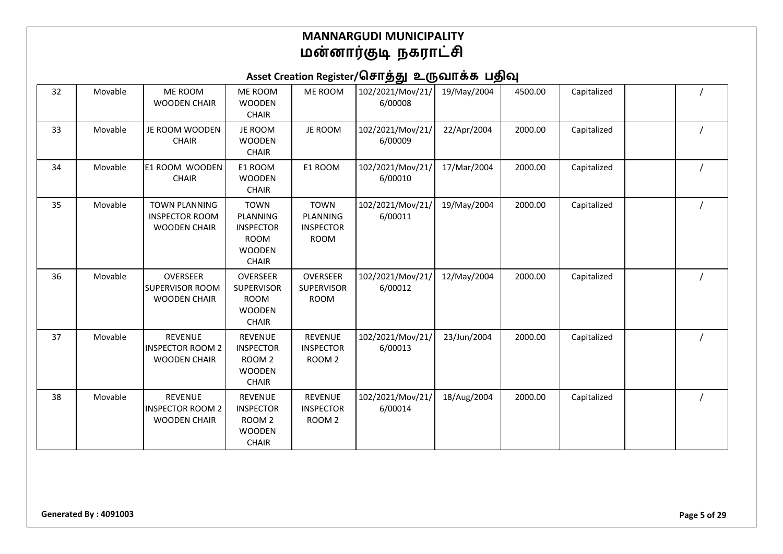| 32 | Movable | ME ROOM<br><b>WOODEN CHAIR</b>                                       | ME ROOM<br><b>WOODEN</b><br><b>CHAIR</b>                                                    | ME ROOM                                                    | 102/2021/Mov/21/<br>6/00008 | 19/May/2004 | 4500.00 | Capitalized |  |
|----|---------|----------------------------------------------------------------------|---------------------------------------------------------------------------------------------|------------------------------------------------------------|-----------------------------|-------------|---------|-------------|--|
| 33 | Movable | JE ROOM WOODEN<br><b>CHAIR</b>                                       | JE ROOM<br><b>WOODEN</b><br><b>CHAIR</b>                                                    | JE ROOM                                                    | 102/2021/Mov/21/<br>6/00009 | 22/Apr/2004 | 2000.00 | Capitalized |  |
| 34 | Movable | E1 ROOM WOODEN<br><b>CHAIR</b>                                       | E1 ROOM<br><b>WOODEN</b><br><b>CHAIR</b>                                                    | E1 ROOM                                                    | 102/2021/Mov/21/<br>6/00010 | 17/Mar/2004 | 2000.00 | Capitalized |  |
| 35 | Movable | <b>TOWN PLANNING</b><br><b>INSPECTOR ROOM</b><br><b>WOODEN CHAIR</b> | <b>TOWN</b><br>PLANNING<br><b>INSPECTOR</b><br><b>ROOM</b><br><b>WOODEN</b><br><b>CHAIR</b> | <b>TOWN</b><br>PLANNING<br><b>INSPECTOR</b><br><b>ROOM</b> | 102/2021/Mov/21/<br>6/00011 | 19/May/2004 | 2000.00 | Capitalized |  |
| 36 | Movable | OVERSEER<br><b>SUPERVISOR ROOM</b><br><b>WOODEN CHAIR</b>            | OVERSEER<br><b>SUPERVISOR</b><br><b>ROOM</b><br><b>WOODEN</b><br><b>CHAIR</b>               | OVERSEER<br><b>SUPERVISOR</b><br><b>ROOM</b>               | 102/2021/Mov/21/<br>6/00012 | 12/May/2004 | 2000.00 | Capitalized |  |
| 37 | Movable | <b>REVENUE</b><br><b>INSPECTOR ROOM 2</b><br><b>WOODEN CHAIR</b>     | <b>REVENUE</b><br><b>INSPECTOR</b><br>ROOM <sub>2</sub><br><b>WOODEN</b><br><b>CHAIR</b>    | <b>REVENUE</b><br><b>INSPECTOR</b><br>ROOM <sub>2</sub>    | 102/2021/Mov/21/<br>6/00013 | 23/Jun/2004 | 2000.00 | Capitalized |  |
| 38 | Movable | <b>REVENUE</b><br><b>INSPECTOR ROOM 2</b><br><b>WOODEN CHAIR</b>     | <b>REVENUE</b><br><b>INSPECTOR</b><br>ROOM <sub>2</sub><br><b>WOODEN</b><br><b>CHAIR</b>    | <b>REVENUE</b><br><b>INSPECTOR</b><br>ROOM <sub>2</sub>    | 102/2021/Mov/21/<br>6/00014 | 18/Aug/2004 | 2000.00 | Capitalized |  |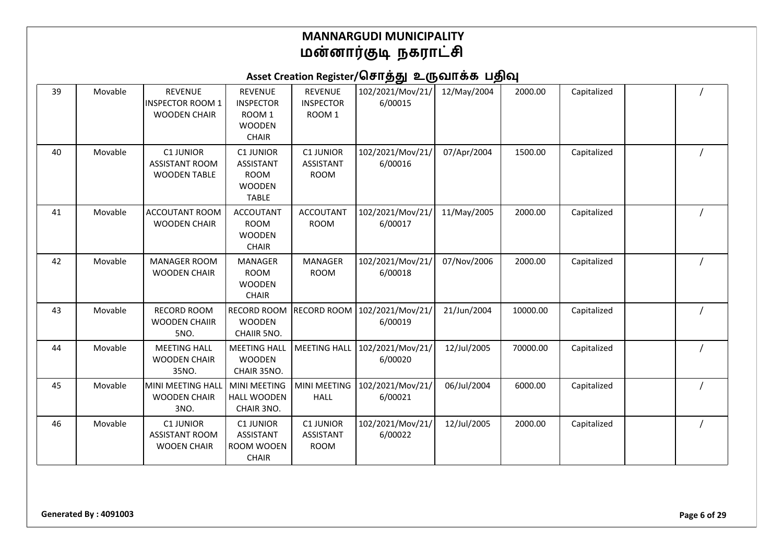| 39 | Movable | <b>REVENUE</b><br><b>INSPECTOR ROOM 1</b><br><b>WOODEN CHAIR</b> | <b>REVENUE</b><br><b>INSPECTOR</b><br>ROOM <sub>1</sub><br><b>WOODEN</b><br><b>CHAIR</b> | <b>REVENUE</b><br><b>INSPECTOR</b><br>ROOM <sub>1</sub> | 102/2021/Mov/21/<br>6/00015 | 12/May/2004 | 2000.00  | Capitalized |  |
|----|---------|------------------------------------------------------------------|------------------------------------------------------------------------------------------|---------------------------------------------------------|-----------------------------|-------------|----------|-------------|--|
| 40 | Movable | C1 JUNIOR<br><b>ASSISTANT ROOM</b><br><b>WOODEN TABLE</b>        | <b>C1 JUNIOR</b><br><b>ASSISTANT</b><br><b>ROOM</b><br><b>WOODEN</b><br><b>TABLE</b>     | <b>C1 JUNIOR</b><br><b>ASSISTANT</b><br><b>ROOM</b>     | 102/2021/Mov/21/<br>6/00016 | 07/Apr/2004 | 1500.00  | Capitalized |  |
| 41 | Movable | ACCOUTANT ROOM<br><b>WOODEN CHAIR</b>                            | <b>ACCOUTANT</b><br><b>ROOM</b><br><b>WOODEN</b><br><b>CHAIR</b>                         | <b>ACCOUTANT</b><br><b>ROOM</b>                         | 102/2021/Mov/21/<br>6/00017 | 11/May/2005 | 2000.00  | Capitalized |  |
| 42 | Movable | <b>MANAGER ROOM</b><br><b>WOODEN CHAIR</b>                       | <b>MANAGER</b><br><b>ROOM</b><br><b>WOODEN</b><br><b>CHAIR</b>                           | <b>MANAGER</b><br><b>ROOM</b>                           | 102/2021/Mov/21/<br>6/00018 | 07/Nov/2006 | 2000.00  | Capitalized |  |
| 43 | Movable | <b>RECORD ROOM</b><br><b>WOODEN CHAIIR</b><br>5NO.               | <b>RECORD ROOM</b><br><b>WOODEN</b><br>CHAIIR 5NO.                                       | <b>RECORD ROOM</b>                                      | 102/2021/Mov/21/<br>6/00019 | 21/Jun/2004 | 10000.00 | Capitalized |  |
| 44 | Movable | <b>MEETING HALL</b><br><b>WOODEN CHAIR</b><br>35NO.              | <b>MEETING HALL</b><br><b>WOODEN</b><br>CHAIR 35NO.                                      | <b>MEETING HALL</b>                                     | 102/2021/Mov/21/<br>6/00020 | 12/Jul/2005 | 70000.00 | Capitalized |  |
| 45 | Movable | MINI MEETING HALL<br><b>WOODEN CHAIR</b><br>3NO.                 | <b>MINI MEETING</b><br><b>HALL WOODEN</b><br>CHAIR 3NO.                                  | <b>MINI MEETING</b><br><b>HALL</b>                      | 102/2021/Mov/21/<br>6/00021 | 06/Jul/2004 | 6000.00  | Capitalized |  |
| 46 | Movable | <b>C1 JUNIOR</b><br><b>ASSISTANT ROOM</b><br><b>WOOEN CHAIR</b>  | <b>C1 JUNIOR</b><br><b>ASSISTANT</b><br>ROOM WOOEN<br><b>CHAIR</b>                       | <b>C1 JUNIOR</b><br><b>ASSISTANT</b><br><b>ROOM</b>     | 102/2021/Mov/21/<br>6/00022 | 12/Jul/2005 | 2000.00  | Capitalized |  |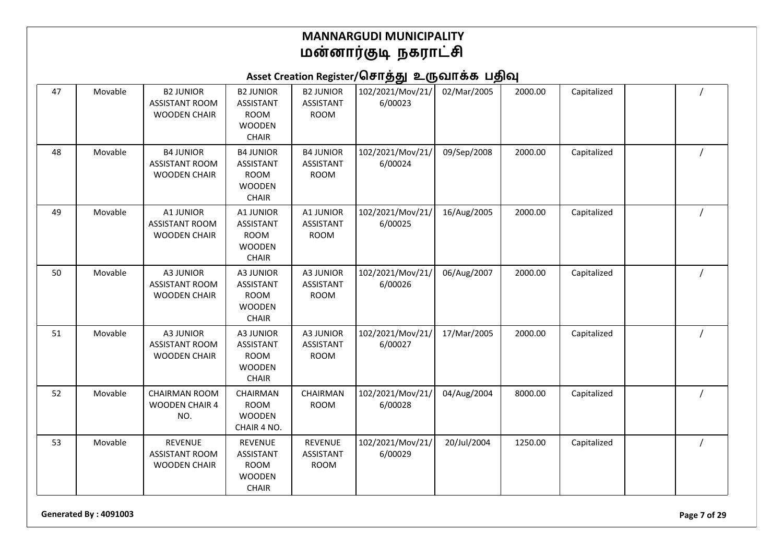Asset Creation Register/சொத்து உருவாக்க பதிவு

| 47 | Movable | <b>B2 JUNIOR</b><br><b>ASSISTANT ROOM</b><br><b>WOODEN CHAIR</b> | <b>B2 JUNIOR</b><br><b>ASSISTANT</b><br><b>ROOM</b><br><b>WOODEN</b><br><b>CHAIR</b> | <b>B2 JUNIOR</b><br><b>ASSISTANT</b><br><b>ROOM</b> | 102/2021/Mov/21/<br>6/00023 | 02/Mar/2005 | 2000.00 | Capitalized |  |
|----|---------|------------------------------------------------------------------|--------------------------------------------------------------------------------------|-----------------------------------------------------|-----------------------------|-------------|---------|-------------|--|
| 48 | Movable | <b>B4 JUNIOR</b><br><b>ASSISTANT ROOM</b><br><b>WOODEN CHAIR</b> | <b>B4 JUNIOR</b><br><b>ASSISTANT</b><br><b>ROOM</b><br><b>WOODEN</b><br><b>CHAIR</b> | <b>B4 JUNIOR</b><br><b>ASSISTANT</b><br><b>ROOM</b> | 102/2021/Mov/21/<br>6/00024 | 09/Sep/2008 | 2000.00 | Capitalized |  |
| 49 | Movable | A1 JUNIOR<br><b>ASSISTANT ROOM</b><br><b>WOODEN CHAIR</b>        | A1 JUNIOR<br><b>ASSISTANT</b><br><b>ROOM</b><br><b>WOODEN</b><br>CHAIR               | A1 JUNIOR<br><b>ASSISTANT</b><br><b>ROOM</b>        | 102/2021/Mov/21/<br>6/00025 | 16/Aug/2005 | 2000.00 | Capitalized |  |
| 50 | Movable | <b>A3 JUNIOR</b><br><b>ASSISTANT ROOM</b><br><b>WOODEN CHAIR</b> | A3 JUNIOR<br><b>ASSISTANT</b><br><b>ROOM</b><br><b>WOODEN</b><br><b>CHAIR</b>        | A3 JUNIOR<br><b>ASSISTANT</b><br><b>ROOM</b>        | 102/2021/Mov/21/<br>6/00026 | 06/Aug/2007 | 2000.00 | Capitalized |  |
| 51 | Movable | <b>A3 JUNIOR</b><br><b>ASSISTANT ROOM</b><br><b>WOODEN CHAIR</b> | A3 JUNIOR<br><b>ASSISTANT</b><br><b>ROOM</b><br><b>WOODEN</b><br><b>CHAIR</b>        | A3 JUNIOR<br><b>ASSISTANT</b><br><b>ROOM</b>        | 102/2021/Mov/21/<br>6/00027 | 17/Mar/2005 | 2000.00 | Capitalized |  |
| 52 | Movable | <b>CHAIRMAN ROOM</b><br><b>WOODEN CHAIR 4</b><br>NO.             | CHAIRMAN<br><b>ROOM</b><br><b>WOODEN</b><br>CHAIR 4 NO.                              | CHAIRMAN<br><b>ROOM</b>                             | 102/2021/Mov/21/<br>6/00028 | 04/Aug/2004 | 8000.00 | Capitalized |  |
| 53 | Movable | <b>REVENUE</b><br><b>ASSISTANT ROOM</b><br><b>WOODEN CHAIR</b>   | <b>REVENUE</b><br><b>ASSISTANT</b><br><b>ROOM</b><br><b>WOODEN</b><br><b>CHAIR</b>   | <b>REVENUE</b><br><b>ASSISTANT</b><br><b>ROOM</b>   | 102/2021/Mov/21/<br>6/00029 | 20/Jul/2004 | 1250.00 | Capitalized |  |

**Generated By : 4091003 Page 7 of 29**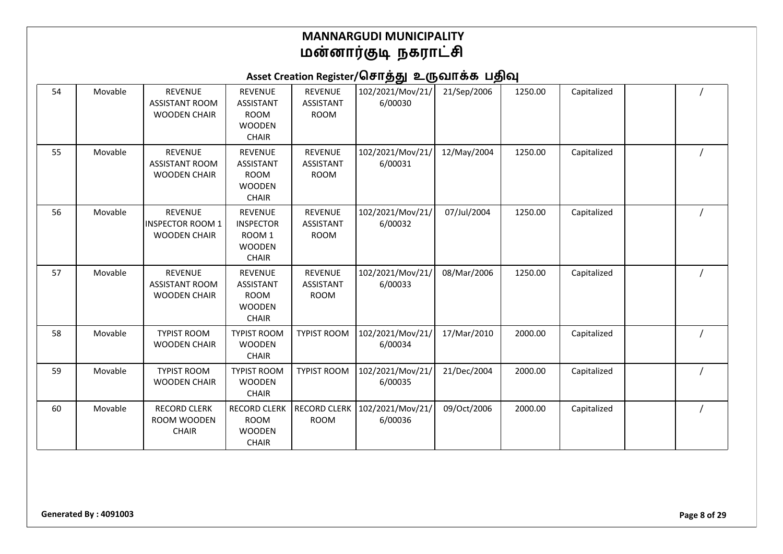| 54 | Movable | <b>REVENUE</b><br><b>ASSISTANT ROOM</b><br><b>WOODEN CHAIR</b> | <b>REVENUE</b><br><b>ASSISTANT</b><br><b>ROOM</b><br><b>WOODEN</b><br><b>CHAIR</b>       | <b>REVENUE</b><br><b>ASSISTANT</b><br><b>ROOM</b> | 102/2021/Mov/21/<br>6/00030 | 21/Sep/2006 | 1250.00 | Capitalized |  |
|----|---------|----------------------------------------------------------------|------------------------------------------------------------------------------------------|---------------------------------------------------|-----------------------------|-------------|---------|-------------|--|
| 55 | Movable | <b>REVENUE</b><br><b>ASSISTANT ROOM</b><br><b>WOODEN CHAIR</b> | <b>REVENUE</b><br><b>ASSISTANT</b><br><b>ROOM</b><br><b>WOODEN</b><br><b>CHAIR</b>       | <b>REVENUE</b><br><b>ASSISTANT</b><br><b>ROOM</b> | 102/2021/Mov/21/<br>6/00031 | 12/May/2004 | 1250.00 | Capitalized |  |
| 56 | Movable | <b>REVENUE</b><br>INSPECTOR ROOM 1<br><b>WOODEN CHAIR</b>      | <b>REVENUE</b><br><b>INSPECTOR</b><br>ROOM <sub>1</sub><br><b>WOODEN</b><br><b>CHAIR</b> | <b>REVENUE</b><br>ASSISTANT<br><b>ROOM</b>        | 102/2021/Mov/21/<br>6/00032 | 07/Jul/2004 | 1250.00 | Capitalized |  |
| 57 | Movable | <b>REVENUE</b><br><b>ASSISTANT ROOM</b><br><b>WOODEN CHAIR</b> | <b>REVENUE</b><br><b>ASSISTANT</b><br><b>ROOM</b><br><b>WOODEN</b><br><b>CHAIR</b>       | <b>REVENUE</b><br><b>ASSISTANT</b><br><b>ROOM</b> | 102/2021/Mov/21/<br>6/00033 | 08/Mar/2006 | 1250.00 | Capitalized |  |
| 58 | Movable | <b>TYPIST ROOM</b><br><b>WOODEN CHAIR</b>                      | <b>TYPIST ROOM</b><br><b>WOODEN</b><br><b>CHAIR</b>                                      | <b>TYPIST ROOM</b>                                | 102/2021/Mov/21/<br>6/00034 | 17/Mar/2010 | 2000.00 | Capitalized |  |
| 59 | Movable | <b>TYPIST ROOM</b><br><b>WOODEN CHAIR</b>                      | <b>TYPIST ROOM</b><br><b>WOODEN</b><br><b>CHAIR</b>                                      | <b>TYPIST ROOM</b>                                | 102/2021/Mov/21/<br>6/00035 | 21/Dec/2004 | 2000.00 | Capitalized |  |
| 60 | Movable | <b>RECORD CLERK</b><br>ROOM WOODEN<br><b>CHAIR</b>             | <b>RECORD CLERK</b><br><b>ROOM</b><br><b>WOODEN</b><br><b>CHAIR</b>                      | <b>RECORD CLERK</b><br><b>ROOM</b>                | 102/2021/Mov/21/<br>6/00036 | 09/Oct/2006 | 2000.00 | Capitalized |  |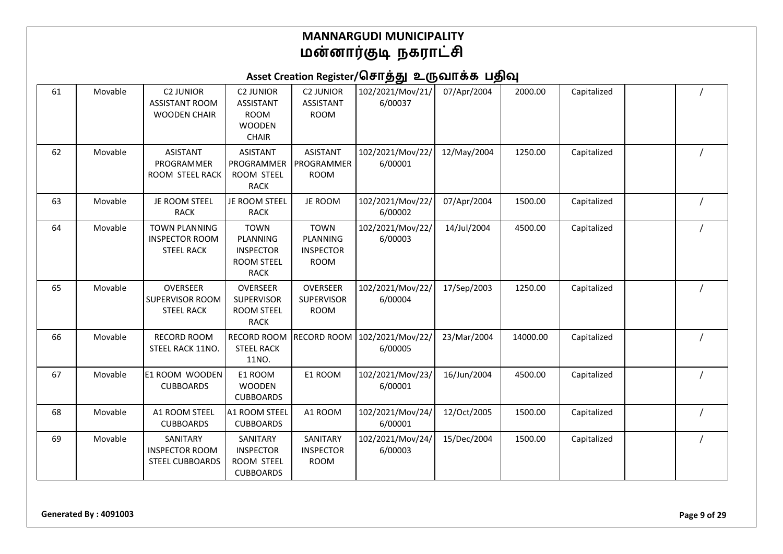| 61 | Movable | <b>C2 JUNIOR</b><br><b>ASSISTANT ROOM</b><br><b>WOODEN CHAIR</b>   | <b>C2 JUNIOR</b><br><b>ASSISTANT</b><br><b>ROOM</b><br><b>WOODEN</b><br><b>CHAIR</b> | <b>C2 JUNIOR</b><br><b>ASSISTANT</b><br><b>ROOM</b>        | 102/2021/Mov/21/<br>6/00037 | 07/Apr/2004 | 2000.00  | Capitalized |  |
|----|---------|--------------------------------------------------------------------|--------------------------------------------------------------------------------------|------------------------------------------------------------|-----------------------------|-------------|----------|-------------|--|
| 62 | Movable | <b>ASISTANT</b><br>PROGRAMMER<br>ROOM STEEL RACK                   | <b>ASISTANT</b><br>PROGRAMMER<br>ROOM STEEL<br><b>RACK</b>                           | <b>ASISTANT</b><br>PROGRAMMER<br><b>ROOM</b>               | 102/2021/Mov/22/<br>6/00001 | 12/May/2004 | 1250.00  | Capitalized |  |
| 63 | Movable | JE ROOM STEEL<br><b>RACK</b>                                       | JE ROOM STEEL<br><b>RACK</b>                                                         | JE ROOM                                                    | 102/2021/Mov/22/<br>6/00002 | 07/Apr/2004 | 1500.00  | Capitalized |  |
| 64 | Movable | <b>TOWN PLANNING</b><br><b>INSPECTOR ROOM</b><br><b>STEEL RACK</b> | <b>TOWN</b><br>PLANNING<br><b>INSPECTOR</b><br><b>ROOM STEEL</b><br><b>RACK</b>      | <b>TOWN</b><br>PLANNING<br><b>INSPECTOR</b><br><b>ROOM</b> | 102/2021/Mov/22/<br>6/00003 | 14/Jul/2004 | 4500.00  | Capitalized |  |
| 65 | Movable | OVERSEER<br>SUPERVISOR ROOM<br><b>STEEL RACK</b>                   | <b>OVERSEER</b><br>SUPERVISOR<br><b>ROOM STEEL</b><br><b>RACK</b>                    | <b>OVERSEER</b><br><b>SUPERVISOR</b><br><b>ROOM</b>        | 102/2021/Mov/22/<br>6/00004 | 17/Sep/2003 | 1250.00  | Capitalized |  |
| 66 | Movable | <b>RECORD ROOM</b><br>STEEL RACK 11NO.                             | <b>RECORD ROOM</b><br><b>STEEL RACK</b><br>11NO.                                     | <b>RECORD ROOM</b>                                         | 102/2021/Mov/22/<br>6/00005 | 23/Mar/2004 | 14000.00 | Capitalized |  |
| 67 | Movable | E1 ROOM WOODEN<br><b>CUBBOARDS</b>                                 | E1 ROOM<br><b>WOODEN</b><br><b>CUBBOARDS</b>                                         | E1 ROOM                                                    | 102/2021/Mov/23/<br>6/00001 | 16/Jun/2004 | 4500.00  | Capitalized |  |
| 68 | Movable | A1 ROOM STEEL<br><b>CUBBOARDS</b>                                  | A1 ROOM STEEL<br><b>CUBBOARDS</b>                                                    | A1 ROOM                                                    | 102/2021/Mov/24/<br>6/00001 | 12/Oct/2005 | 1500.00  | Capitalized |  |
| 69 | Movable | SANITARY<br><b>INSPECTOR ROOM</b><br><b>STEEL CUBBOARDS</b>        | SANITARY<br><b>INSPECTOR</b><br>ROOM STEEL<br><b>CUBBOARDS</b>                       | SANITARY<br><b>INSPECTOR</b><br><b>ROOM</b>                | 102/2021/Mov/24/<br>6/00003 | 15/Dec/2004 | 1500.00  | Capitalized |  |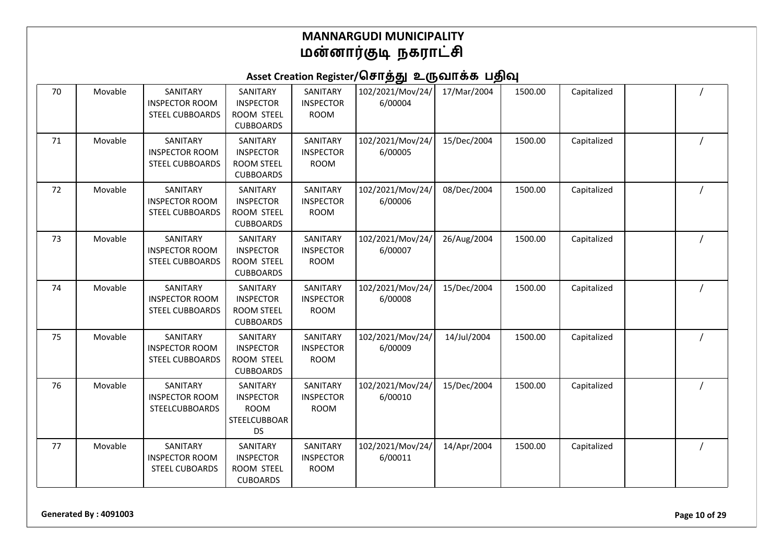# Asset Creation Register/சொத்து உருவாக்க பதிவு

| 70 | Movable | SANITARY<br><b>INSPECTOR ROOM</b><br><b>STEEL CUBBOARDS</b> | SANITARY<br><b>INSPECTOR</b><br>ROOM STEEL<br><b>CUBBOARDS</b>           | SANITARY<br><b>INSPECTOR</b><br><b>ROOM</b> | 102/2021/Mov/24/<br>6/00004 | 17/Mar/2004 | 1500.00 | Capitalized |  |
|----|---------|-------------------------------------------------------------|--------------------------------------------------------------------------|---------------------------------------------|-----------------------------|-------------|---------|-------------|--|
| 71 | Movable | SANITARY<br><b>INSPECTOR ROOM</b><br><b>STEEL CUBBOARDS</b> | SANITARY<br><b>INSPECTOR</b><br><b>ROOM STEEL</b><br><b>CUBBOARDS</b>    | SANITARY<br><b>INSPECTOR</b><br><b>ROOM</b> | 102/2021/Mov/24/<br>6/00005 | 15/Dec/2004 | 1500.00 | Capitalized |  |
| 72 | Movable | SANITARY<br><b>INSPECTOR ROOM</b><br><b>STEEL CUBBOARDS</b> | SANITARY<br><b>INSPECTOR</b><br>ROOM STEEL<br><b>CUBBOARDS</b>           | SANITARY<br><b>INSPECTOR</b><br><b>ROOM</b> | 102/2021/Mov/24/<br>6/00006 | 08/Dec/2004 | 1500.00 | Capitalized |  |
| 73 | Movable | SANITARY<br><b>INSPECTOR ROOM</b><br><b>STEEL CUBBOARDS</b> | SANITARY<br><b>INSPECTOR</b><br>ROOM STEEL<br><b>CUBBOARDS</b>           | SANITARY<br><b>INSPECTOR</b><br><b>ROOM</b> | 102/2021/Mov/24/<br>6/00007 | 26/Aug/2004 | 1500.00 | Capitalized |  |
| 74 | Movable | SANITARY<br><b>INSPECTOR ROOM</b><br><b>STEEL CUBBOARDS</b> | SANITARY<br><b>INSPECTOR</b><br><b>ROOM STEEL</b><br><b>CUBBOARDS</b>    | SANITARY<br><b>INSPECTOR</b><br><b>ROOM</b> | 102/2021/Mov/24/<br>6/00008 | 15/Dec/2004 | 1500.00 | Capitalized |  |
| 75 | Movable | SANITARY<br><b>INSPECTOR ROOM</b><br><b>STEEL CUBBOARDS</b> | SANITARY<br><b>INSPECTOR</b><br>ROOM STEEL<br><b>CUBBOARDS</b>           | SANITARY<br><b>INSPECTOR</b><br><b>ROOM</b> | 102/2021/Mov/24/<br>6/00009 | 14/Jul/2004 | 1500.00 | Capitalized |  |
| 76 | Movable | SANITARY<br><b>INSPECTOR ROOM</b><br>STEELCUBBOARDS         | SANITARY<br><b>INSPECTOR</b><br><b>ROOM</b><br>STEELCUBBOAR<br><b>DS</b> | SANITARY<br><b>INSPECTOR</b><br><b>ROOM</b> | 102/2021/Mov/24/<br>6/00010 | 15/Dec/2004 | 1500.00 | Capitalized |  |
| 77 | Movable | SANITARY<br><b>INSPECTOR ROOM</b><br><b>STEEL CUBOARDS</b>  | SANITARY<br><b>INSPECTOR</b><br>ROOM STEEL<br><b>CUBOARDS</b>            | SANITARY<br><b>INSPECTOR</b><br><b>ROOM</b> | 102/2021/Mov/24/<br>6/00011 | 14/Apr/2004 | 1500.00 | Capitalized |  |

**Generated By : 4091003 Page 10 of 29**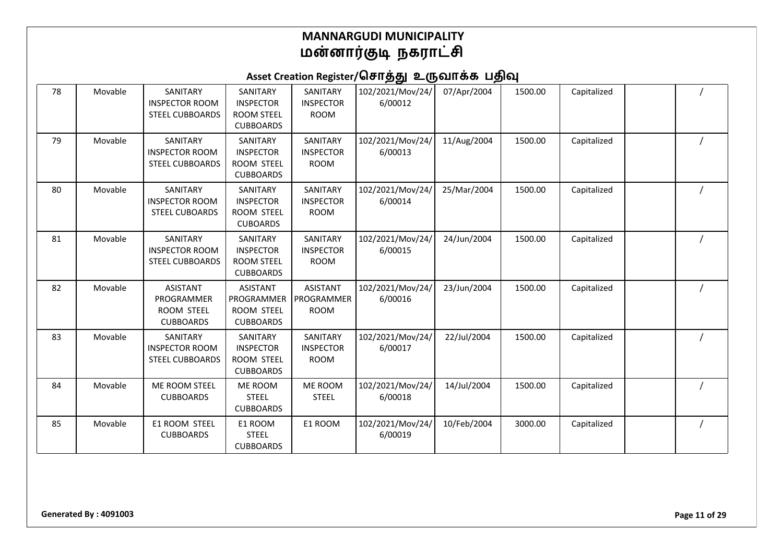| 78 | Movable | SANITARY<br><b>INSPECTOR ROOM</b><br><b>STEEL CUBBOARDS</b>     | SANITARY<br><b>INSPECTOR</b><br><b>ROOM STEEL</b><br><b>CUBBOARDS</b> | SANITARY<br><b>INSPECTOR</b><br><b>ROOM</b>  | 102/2021/Mov/24/<br>6/00012 | 07/Apr/2004 | 1500.00 | Capitalized |  |
|----|---------|-----------------------------------------------------------------|-----------------------------------------------------------------------|----------------------------------------------|-----------------------------|-------------|---------|-------------|--|
| 79 | Movable | SANITARY<br><b>INSPECTOR ROOM</b><br>STEEL CUBBOARDS            | SANITARY<br><b>INSPECTOR</b><br>ROOM STEEL<br><b>CUBBOARDS</b>        | SANITARY<br><b>INSPECTOR</b><br><b>ROOM</b>  | 102/2021/Mov/24/<br>6/00013 | 11/Aug/2004 | 1500.00 | Capitalized |  |
| 80 | Movable | SANITARY<br><b>INSPECTOR ROOM</b><br><b>STEEL CUBOARDS</b>      | SANITARY<br><b>INSPECTOR</b><br>ROOM STEEL<br><b>CUBOARDS</b>         | SANITARY<br><b>INSPECTOR</b><br><b>ROOM</b>  | 102/2021/Mov/24/<br>6/00014 | 25/Mar/2004 | 1500.00 | Capitalized |  |
| 81 | Movable | SANITARY<br><b>INSPECTOR ROOM</b><br><b>STEEL CUBBOARDS</b>     | SANITARY<br><b>INSPECTOR</b><br><b>ROOM STEEL</b><br><b>CUBBOARDS</b> | SANITARY<br><b>INSPECTOR</b><br><b>ROOM</b>  | 102/2021/Mov/24/<br>6/00015 | 24/Jun/2004 | 1500.00 | Capitalized |  |
| 82 | Movable | <b>ASISTANT</b><br>PROGRAMMER<br>ROOM STEEL<br><b>CUBBOARDS</b> | <b>ASISTANT</b><br>PROGRAMMER<br>ROOM STEEL<br><b>CUBBOARDS</b>       | <b>ASISTANT</b><br>PROGRAMMER<br><b>ROOM</b> | 102/2021/Mov/24/<br>6/00016 | 23/Jun/2004 | 1500.00 | Capitalized |  |
| 83 | Movable | SANITARY<br><b>INSPECTOR ROOM</b><br><b>STEEL CUBBOARDS</b>     | SANITARY<br><b>INSPECTOR</b><br><b>ROOM STEEL</b><br><b>CUBBOARDS</b> | SANITARY<br><b>INSPECTOR</b><br><b>ROOM</b>  | 102/2021/Mov/24/<br>6/00017 | 22/Jul/2004 | 1500.00 | Capitalized |  |
| 84 | Movable | ME ROOM STEEL<br><b>CUBBOARDS</b>                               | <b>ME ROOM</b><br><b>STEEL</b><br><b>CUBBOARDS</b>                    | ME ROOM<br><b>STEEL</b>                      | 102/2021/Mov/24/<br>6/00018 | 14/Jul/2004 | 1500.00 | Capitalized |  |
| 85 | Movable | E1 ROOM STEEL<br><b>CUBBOARDS</b>                               | E1 ROOM<br><b>STEEL</b><br><b>CUBBOARDS</b>                           | E1 ROOM                                      | 102/2021/Mov/24/<br>6/00019 | 10/Feb/2004 | 3000.00 | Capitalized |  |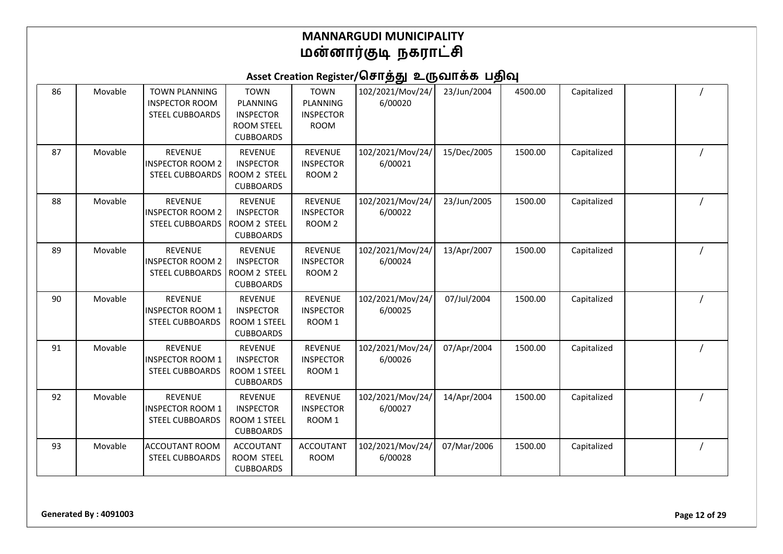| 86 | Movable | <b>TOWN PLANNING</b><br><b>INSPECTOR ROOM</b><br><b>STEEL CUBBOARDS</b> | <b>TOWN</b><br>PLANNING<br><b>INSPECTOR</b><br><b>ROOM STEEL</b><br><b>CUBBOARDS</b> | <b>TOWN</b><br>PLANNING<br><b>INSPECTOR</b><br><b>ROOM</b> | 102/2021/Mov/24/<br>6/00020 | 23/Jun/2004 | 4500.00 | Capitalized |  |
|----|---------|-------------------------------------------------------------------------|--------------------------------------------------------------------------------------|------------------------------------------------------------|-----------------------------|-------------|---------|-------------|--|
| 87 | Movable | <b>REVENUE</b><br><b>INSPECTOR ROOM 2</b><br><b>STEEL CUBBOARDS</b>     | <b>REVENUE</b><br><b>INSPECTOR</b><br>ROOM 2 STEEL<br><b>CUBBOARDS</b>               | <b>REVENUE</b><br><b>INSPECTOR</b><br>ROOM <sub>2</sub>    | 102/2021/Mov/24/<br>6/00021 | 15/Dec/2005 | 1500.00 | Capitalized |  |
| 88 | Movable | <b>REVENUE</b><br><b>INSPECTOR ROOM 2</b><br>STEEL CUBBOARDS            | <b>REVENUE</b><br><b>INSPECTOR</b><br><b>ROOM 2 STEEL</b><br><b>CUBBOARDS</b>        | <b>REVENUE</b><br><b>INSPECTOR</b><br>ROOM <sub>2</sub>    | 102/2021/Mov/24/<br>6/00022 | 23/Jun/2005 | 1500.00 | Capitalized |  |
| 89 | Movable | <b>REVENUE</b><br><b>INSPECTOR ROOM 2</b><br>STEEL CUBBOARDS            | <b>REVENUE</b><br><b>INSPECTOR</b><br>ROOM 2 STEEL<br><b>CUBBOARDS</b>               | <b>REVENUE</b><br><b>INSPECTOR</b><br>ROOM <sub>2</sub>    | 102/2021/Mov/24/<br>6/00024 | 13/Apr/2007 | 1500.00 | Capitalized |  |
| 90 | Movable | <b>REVENUE</b><br><b>INSPECTOR ROOM 1</b><br><b>STEEL CUBBOARDS</b>     | <b>REVENUE</b><br><b>INSPECTOR</b><br>ROOM 1 STEEL<br><b>CUBBOARDS</b>               | <b>REVENUE</b><br><b>INSPECTOR</b><br>ROOM 1               | 102/2021/Mov/24/<br>6/00025 | 07/Jul/2004 | 1500.00 | Capitalized |  |
| 91 | Movable | <b>REVENUE</b><br><b>INSPECTOR ROOM 1</b><br><b>STEEL CUBBOARDS</b>     | <b>REVENUE</b><br><b>INSPECTOR</b><br>ROOM 1 STEEL<br><b>CUBBOARDS</b>               | <b>REVENUE</b><br><b>INSPECTOR</b><br>ROOM <sub>1</sub>    | 102/2021/Mov/24/<br>6/00026 | 07/Apr/2004 | 1500.00 | Capitalized |  |
| 92 | Movable | <b>REVENUE</b><br><b>INSPECTOR ROOM 1</b><br><b>STEEL CUBBOARDS</b>     | <b>REVENUE</b><br><b>INSPECTOR</b><br>ROOM 1 STEEL<br><b>CUBBOARDS</b>               | <b>REVENUE</b><br><b>INSPECTOR</b><br>ROOM <sub>1</sub>    | 102/2021/Mov/24/<br>6/00027 | 14/Apr/2004 | 1500.00 | Capitalized |  |
| 93 | Movable | <b>ACCOUTANT ROOM</b><br><b>STEEL CUBBOARDS</b>                         | <b>ACCOUTANT</b><br>ROOM STEEL<br><b>CUBBOARDS</b>                                   | <b>ACCOUTANT</b><br><b>ROOM</b>                            | 102/2021/Mov/24/<br>6/00028 | 07/Mar/2006 | 1500.00 | Capitalized |  |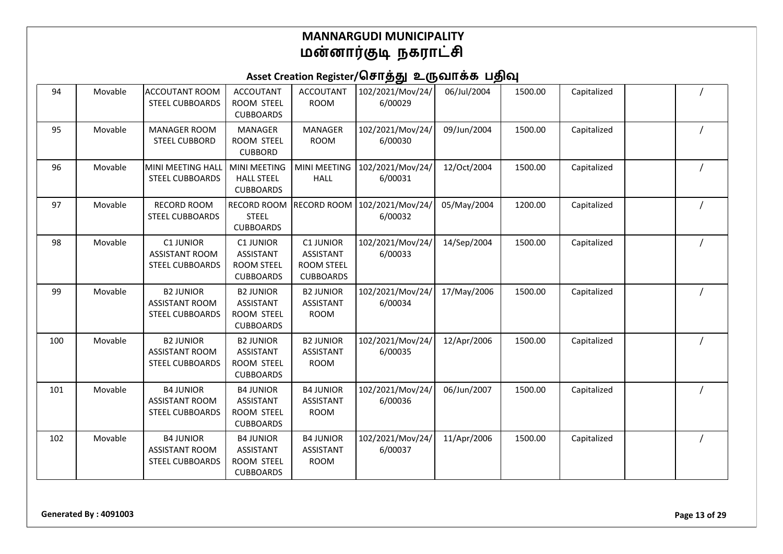| 94  | Movable | <b>ACCOUTANT ROOM</b><br><b>STEEL CUBBOARDS</b>                     | <b>ACCOUTANT</b><br>ROOM STEEL<br><b>CUBBOARDS</b>                            | <b>ACCOUTANT</b><br><b>ROOM</b>                                        | 102/2021/Mov/24/<br>6/00029 | 06/Jul/2004 | 1500.00 | Capitalized |  |
|-----|---------|---------------------------------------------------------------------|-------------------------------------------------------------------------------|------------------------------------------------------------------------|-----------------------------|-------------|---------|-------------|--|
| 95  | Movable | <b>MANAGER ROOM</b><br><b>STEEL CUBBORD</b>                         | <b>MANAGER</b><br>ROOM STEEL<br><b>CUBBORD</b>                                | <b>MANAGER</b><br><b>ROOM</b>                                          | 102/2021/Mov/24/<br>6/00030 | 09/Jun/2004 | 1500.00 | Capitalized |  |
| 96  | Movable | MINI MEETING HALL<br><b>STEEL CUBBOARDS</b>                         | <b>MINI MEETING</b><br><b>HALL STEEL</b><br><b>CUBBOARDS</b>                  | MINI MEETING<br><b>HALL</b>                                            | 102/2021/Mov/24/<br>6/00031 | 12/Oct/2004 | 1500.00 | Capitalized |  |
| 97  | Movable | <b>RECORD ROOM</b><br><b>STEEL CUBBOARDS</b>                        | <b>RECORD ROOM</b><br><b>STEEL</b><br><b>CUBBOARDS</b>                        | <b>RECORD ROOM</b>                                                     | 102/2021/Mov/24/<br>6/00032 | 05/May/2004 | 1200.00 | Capitalized |  |
| 98  | Movable | <b>C1 JUNIOR</b><br><b>ASSISTANT ROOM</b><br><b>STEEL CUBBOARDS</b> | <b>C1 JUNIOR</b><br><b>ASSISTANT</b><br><b>ROOM STEEL</b><br><b>CUBBOARDS</b> | <b>C1 JUNIOR</b><br>ASSISTANT<br><b>ROOM STEEL</b><br><b>CUBBOARDS</b> | 102/2021/Mov/24/<br>6/00033 | 14/Sep/2004 | 1500.00 | Capitalized |  |
| 99  | Movable | <b>B2 JUNIOR</b><br><b>ASSISTANT ROOM</b><br><b>STEEL CUBBOARDS</b> | <b>B2 JUNIOR</b><br><b>ASSISTANT</b><br>ROOM STEEL<br><b>CUBBOARDS</b>        | <b>B2 JUNIOR</b><br><b>ASSISTANT</b><br><b>ROOM</b>                    | 102/2021/Mov/24/<br>6/00034 | 17/May/2006 | 1500.00 | Capitalized |  |
| 100 | Movable | <b>B2 JUNIOR</b><br><b>ASSISTANT ROOM</b><br><b>STEEL CUBBOARDS</b> | <b>B2 JUNIOR</b><br><b>ASSISTANT</b><br>ROOM STEEL<br><b>CUBBOARDS</b>        | <b>B2 JUNIOR</b><br><b>ASSISTANT</b><br><b>ROOM</b>                    | 102/2021/Mov/24/<br>6/00035 | 12/Apr/2006 | 1500.00 | Capitalized |  |
| 101 | Movable | <b>B4 JUNIOR</b><br><b>ASSISTANT ROOM</b><br><b>STEEL CUBBOARDS</b> | <b>B4 JUNIOR</b><br>ASSISTANT<br>ROOM STEEL<br><b>CUBBOARDS</b>               | <b>B4 JUNIOR</b><br><b>ASSISTANT</b><br><b>ROOM</b>                    | 102/2021/Mov/24/<br>6/00036 | 06/Jun/2007 | 1500.00 | Capitalized |  |
| 102 | Movable | <b>B4 JUNIOR</b><br><b>ASSISTANT ROOM</b><br><b>STEEL CUBBOARDS</b> | <b>B4 JUNIOR</b><br><b>ASSISTANT</b><br>ROOM STEEL<br><b>CUBBOARDS</b>        | <b>B4 JUNIOR</b><br><b>ASSISTANT</b><br><b>ROOM</b>                    | 102/2021/Mov/24/<br>6/00037 | 11/Apr/2006 | 1500.00 | Capitalized |  |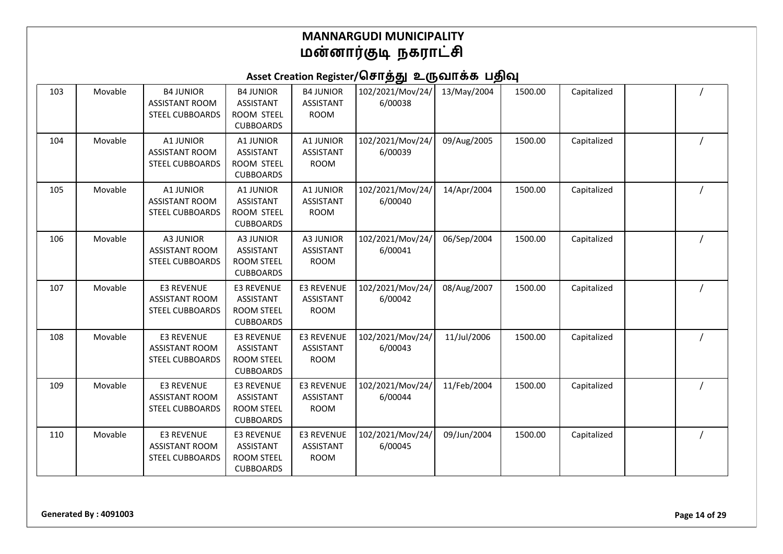# Asset Creation Register/சொத்து உருவாக்க பதிவு

| 103 | Movable | <b>B4 JUNIOR</b><br><b>ASSISTANT ROOM</b><br><b>STEEL CUBBOARDS</b> | <b>B4 JUNIOR</b><br><b>ASSISTANT</b><br>ROOM STEEL<br><b>CUBBOARDS</b>         | <b>B4 JUNIOR</b><br><b>ASSISTANT</b><br><b>ROOM</b>  | 102/2021/Mov/24/<br>6/00038 | 13/May/2004 | 1500.00 | Capitalized |  |
|-----|---------|---------------------------------------------------------------------|--------------------------------------------------------------------------------|------------------------------------------------------|-----------------------------|-------------|---------|-------------|--|
| 104 | Movable | A1 JUNIOR<br><b>ASSISTANT ROOM</b><br><b>STEEL CUBBOARDS</b>        | A1 JUNIOR<br><b>ASSISTANT</b><br>ROOM STEEL<br><b>CUBBOARDS</b>                | A1 JUNIOR<br><b>ASSISTANT</b><br><b>ROOM</b>         | 102/2021/Mov/24/<br>6/00039 | 09/Aug/2005 | 1500.00 | Capitalized |  |
| 105 | Movable | A1 JUNIOR<br><b>ASSISTANT ROOM</b><br><b>STEEL CUBBOARDS</b>        | A1 JUNIOR<br><b>ASSISTANT</b><br>ROOM STEEL<br><b>CUBBOARDS</b>                | A1 JUNIOR<br><b>ASSISTANT</b><br><b>ROOM</b>         | 102/2021/Mov/24/<br>6/00040 | 14/Apr/2004 | 1500.00 | Capitalized |  |
| 106 | Movable | <b>A3 JUNIOR</b><br><b>ASSISTANT ROOM</b><br><b>STEEL CUBBOARDS</b> | A3 JUNIOR<br><b>ASSISTANT</b><br><b>ROOM STEEL</b><br><b>CUBBOARDS</b>         | A3 JUNIOR<br><b>ASSISTANT</b><br><b>ROOM</b>         | 102/2021/Mov/24/<br>6/00041 | 06/Sep/2004 | 1500.00 | Capitalized |  |
| 107 | Movable | E3 REVENUE<br><b>ASSISTANT ROOM</b><br><b>STEEL CUBBOARDS</b>       | <b>E3 REVENUE</b><br><b>ASSISTANT</b><br>ROOM STEEL<br><b>CUBBOARDS</b>        | <b>E3 REVENUE</b><br><b>ASSISTANT</b><br><b>ROOM</b> | 102/2021/Mov/24/<br>6/00042 | 08/Aug/2007 | 1500.00 | Capitalized |  |
| 108 | Movable | E3 REVENUE<br><b>ASSISTANT ROOM</b><br><b>STEEL CUBBOARDS</b>       | <b>E3 REVENUE</b><br><b>ASSISTANT</b><br><b>ROOM STEEL</b><br><b>CUBBOARDS</b> | <b>E3 REVENUE</b><br><b>ASSISTANT</b><br><b>ROOM</b> | 102/2021/Mov/24/<br>6/00043 | 11/Jul/2006 | 1500.00 | Capitalized |  |
| 109 | Movable | E3 REVENUE<br><b>ASSISTANT ROOM</b><br><b>STEEL CUBBOARDS</b>       | <b>E3 REVENUE</b><br><b>ASSISTANT</b><br>ROOM STEEL<br><b>CUBBOARDS</b>        | <b>E3 REVENUE</b><br><b>ASSISTANT</b><br><b>ROOM</b> | 102/2021/Mov/24/<br>6/00044 | 11/Feb/2004 | 1500.00 | Capitalized |  |
| 110 | Movable | E3 REVENUE<br><b>ASSISTANT ROOM</b><br><b>STEEL CUBBOARDS</b>       | <b>E3 REVENUE</b><br>ASSISTANT<br><b>ROOM STEEL</b><br><b>CUBBOARDS</b>        | <b>E3 REVENUE</b><br><b>ASSISTANT</b><br><b>ROOM</b> | 102/2021/Mov/24/<br>6/00045 | 09/Jun/2004 | 1500.00 | Capitalized |  |

**Generated By : 4091003 Page 14 of 29**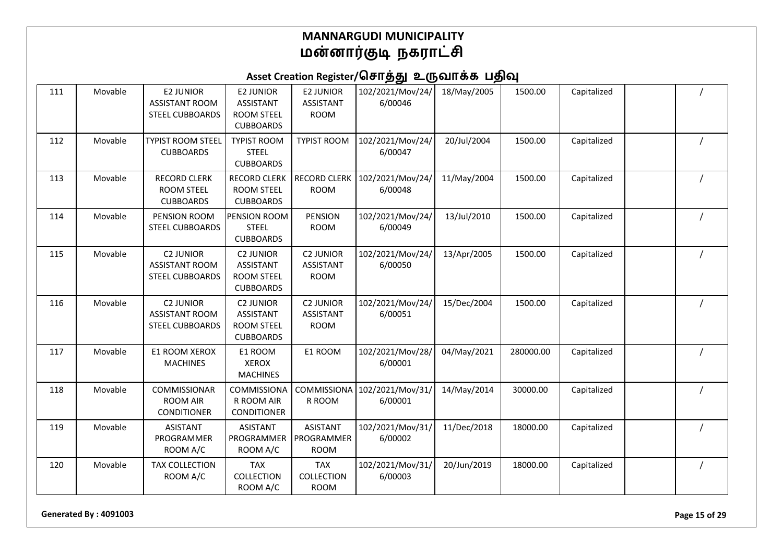### Asset Creation Register/சொத்து உருவாக்க பதிவு

| 111 | Movable | <b>E2 JUNIOR</b><br><b>ASSISTANT ROOM</b><br><b>STEEL CUBBOARDS</b> | <b>E2 JUNIOR</b><br><b>ASSISTANT</b><br><b>ROOM STEEL</b><br><b>CUBBOARDS</b> | <b>E2 JUNIOR</b><br><b>ASSISTANT</b><br><b>ROOM</b> | 102/2021/Mov/24/<br>6/00046 | 18/May/2005 | 1500.00   | Capitalized |  |
|-----|---------|---------------------------------------------------------------------|-------------------------------------------------------------------------------|-----------------------------------------------------|-----------------------------|-------------|-----------|-------------|--|
| 112 | Movable | <b>TYPIST ROOM STEEL</b><br><b>CUBBOARDS</b>                        | <b>TYPIST ROOM</b><br><b>STEEL</b><br><b>CUBBOARDS</b>                        | <b>TYPIST ROOM</b>                                  | 102/2021/Mov/24/<br>6/00047 | 20/Jul/2004 | 1500.00   | Capitalized |  |
| 113 | Movable | <b>RECORD CLERK</b><br><b>ROOM STEEL</b><br><b>CUBBOARDS</b>        | <b>RECORD CLERK</b><br><b>ROOM STEEL</b><br><b>CUBBOARDS</b>                  | <b>RECORD CLERK</b><br><b>ROOM</b>                  | 102/2021/Mov/24/<br>6/00048 | 11/May/2004 | 1500.00   | Capitalized |  |
| 114 | Movable | PENSION ROOM<br><b>STEEL CUBBOARDS</b>                              | PENSION ROOM<br><b>STEEL</b><br><b>CUBBOARDS</b>                              | PENSION<br><b>ROOM</b>                              | 102/2021/Mov/24/<br>6/00049 | 13/Jul/2010 | 1500.00   | Capitalized |  |
| 115 | Movable | <b>C2 JUNIOR</b><br><b>ASSISTANT ROOM</b><br><b>STEEL CUBBOARDS</b> | <b>C2 JUNIOR</b><br><b>ASSISTANT</b><br><b>ROOM STEEL</b><br><b>CUBBOARDS</b> | <b>C2 JUNIOR</b><br><b>ASSISTANT</b><br><b>ROOM</b> | 102/2021/Mov/24/<br>6/00050 | 13/Apr/2005 | 1500.00   | Capitalized |  |
| 116 | Movable | <b>C2 JUNIOR</b><br><b>ASSISTANT ROOM</b><br><b>STEEL CUBBOARDS</b> | <b>C2 JUNIOR</b><br><b>ASSISTANT</b><br><b>ROOM STEEL</b><br><b>CUBBOARDS</b> | <b>C2 JUNIOR</b><br><b>ASSISTANT</b><br><b>ROOM</b> | 102/2021/Mov/24/<br>6/00051 | 15/Dec/2004 | 1500.00   | Capitalized |  |
| 117 | Movable | E1 ROOM XEROX<br><b>MACHINES</b>                                    | E1 ROOM<br><b>XEROX</b><br><b>MACHINES</b>                                    | E1 ROOM                                             | 102/2021/Mov/28/<br>6/00001 | 04/May/2021 | 280000.00 | Capitalized |  |
| 118 | Movable | COMMISSIONAR<br><b>ROOM AIR</b><br><b>CONDITIONER</b>               | COMMISSIONA<br>R ROOM AIR<br><b>CONDITIONER</b>                               | <b>COMMISSIONA</b><br>R ROOM                        | 102/2021/Mov/31/<br>6/00001 | 14/May/2014 | 30000.00  | Capitalized |  |
| 119 | Movable | <b>ASISTANT</b><br>PROGRAMMER<br>ROOM A/C                           | <b>ASISTANT</b><br>PROGRAMMER<br>ROOM A/C                                     | <b>ASISTANT</b><br>PROGRAMMER<br><b>ROOM</b>        | 102/2021/Mov/31/<br>6/00002 | 11/Dec/2018 | 18000.00  | Capitalized |  |
| 120 | Movable | <b>TAX COLLECTION</b><br>ROOM A/C                                   | <b>TAX</b><br><b>COLLECTION</b><br>ROOM A/C                                   | <b>TAX</b><br>COLLECTION<br><b>ROOM</b>             | 102/2021/Mov/31/<br>6/00003 | 20/Jun/2019 | 18000.00  | Capitalized |  |

**Generated By : 4091003 Page 15 of 29**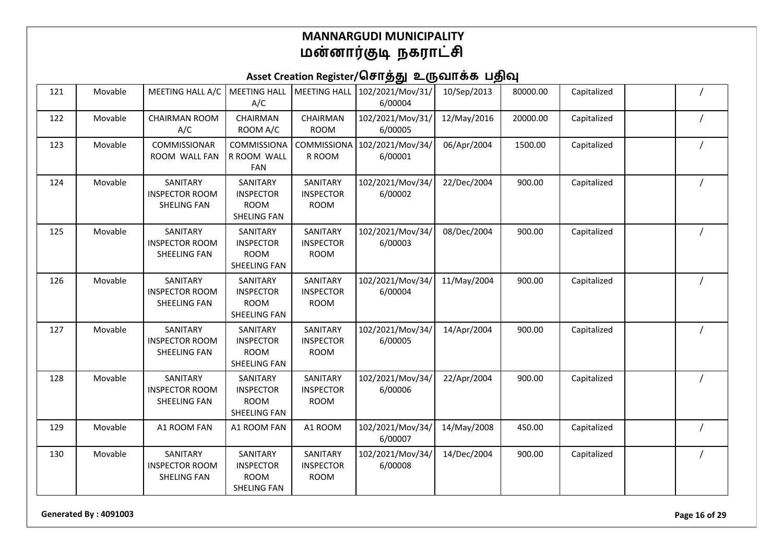### Asset Creation Register/சொத்து உருவாக்க பதிவு

| 121 | Movable | MEETING HALL A/C                                        | <b>MEETING HALL</b><br>A/C                                         | <b>MEETING HALL</b>                         | 102/2021/Mov/31/<br>6/00004 | 10/Sep/2013 | 80000.00 | Capitalized |  |
|-----|---------|---------------------------------------------------------|--------------------------------------------------------------------|---------------------------------------------|-----------------------------|-------------|----------|-------------|--|
| 122 | Movable | <b>CHAIRMAN ROOM</b><br>A/C                             | CHAIRMAN<br>ROOM A/C                                               | CHAIRMAN<br><b>ROOM</b>                     | 102/2021/Mov/31/<br>6/00005 | 12/May/2016 | 20000.00 | Capitalized |  |
| 123 | Movable | COMMISSIONAR<br>ROOM WALL FAN                           | COMMISSIONA<br>R ROOM WALL<br><b>FAN</b>                           | COMMISSIONA<br>R ROOM                       | 102/2021/Mov/34/<br>6/00001 | 06/Apr/2004 | 1500.00  | Capitalized |  |
| 124 | Movable | SANITARY<br><b>INSPECTOR ROOM</b><br><b>SHELING FAN</b> | SANITARY<br><b>INSPECTOR</b><br><b>ROOM</b><br><b>SHELING FAN</b>  | SANITARY<br><b>INSPECTOR</b><br><b>ROOM</b> | 102/2021/Mov/34/<br>6/00002 | 22/Dec/2004 | 900.00   | Capitalized |  |
| 125 | Movable | SANITARY<br><b>INSPECTOR ROOM</b><br>SHEELING FAN       | SANITARY<br><b>INSPECTOR</b><br><b>ROOM</b><br>SHEELING FAN        | SANITARY<br><b>INSPECTOR</b><br><b>ROOM</b> | 102/2021/Mov/34/<br>6/00003 | 08/Dec/2004 | 900.00   | Capitalized |  |
| 126 | Movable | SANITARY<br><b>INSPECTOR ROOM</b><br>SHEELING FAN       | SANITARY<br><b>INSPECTOR</b><br><b>ROOM</b><br><b>SHEELING FAN</b> | SANITARY<br><b>INSPECTOR</b><br><b>ROOM</b> | 102/2021/Mov/34/<br>6/00004 | 11/May/2004 | 900.00   | Capitalized |  |
| 127 | Movable | SANITARY<br><b>INSPECTOR ROOM</b><br>SHEELING FAN       | SANITARY<br><b>INSPECTOR</b><br><b>ROOM</b><br>SHEELING FAN        | SANITARY<br><b>INSPECTOR</b><br><b>ROOM</b> | 102/2021/Mov/34/<br>6/00005 | 14/Apr/2004 | 900.00   | Capitalized |  |
| 128 | Movable | SANITARY<br><b>INSPECTOR ROOM</b><br>SHEELING FAN       | SANITARY<br><b>INSPECTOR</b><br><b>ROOM</b><br>SHEELING FAN        | SANITARY<br><b>INSPECTOR</b><br><b>ROOM</b> | 102/2021/Mov/34/<br>6/00006 | 22/Apr/2004 | 900.00   | Capitalized |  |
| 129 | Movable | A1 ROOM FAN                                             | A1 ROOM FAN                                                        | A1 ROOM                                     | 102/2021/Mov/34/<br>6/00007 | 14/May/2008 | 450.00   | Capitalized |  |
| 130 | Movable | SANITARY<br><b>INSPECTOR ROOM</b><br><b>SHELING FAN</b> | SANITARY<br><b>INSPECTOR</b><br><b>ROOM</b><br><b>SHELING FAN</b>  | SANITARY<br><b>INSPECTOR</b><br><b>ROOM</b> | 102/2021/Mov/34/<br>6/00008 | 14/Dec/2004 | 900.00   | Capitalized |  |

**Generated By : 4091003 Page 16 of 29**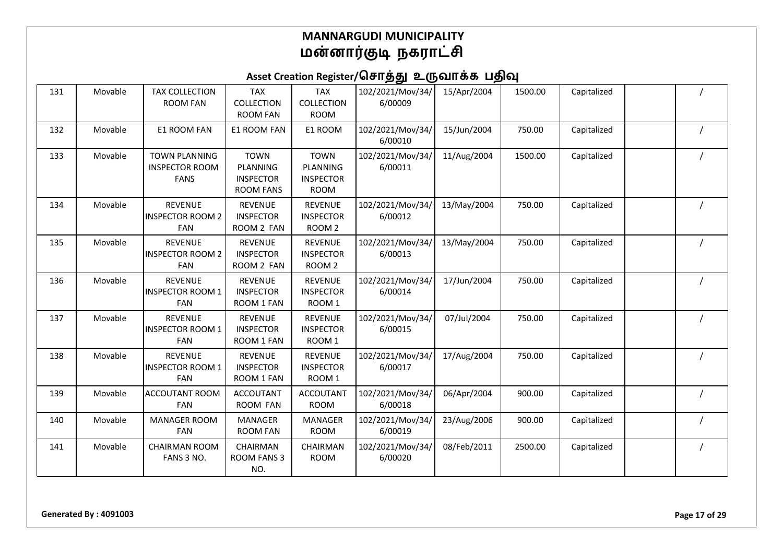| 131 | Movable | <b>TAX COLLECTION</b><br><b>ROOM FAN</b>                     | <b>TAX</b><br>COLLECTION<br><b>ROOM FAN</b>                     | <b>TAX</b><br><b>COLLECTION</b><br><b>ROOM</b>             | 102/2021/Mov/34/<br>6/00009 | 15/Apr/2004 | 1500.00 | Capitalized |  |
|-----|---------|--------------------------------------------------------------|-----------------------------------------------------------------|------------------------------------------------------------|-----------------------------|-------------|---------|-------------|--|
| 132 | Movable | E1 ROOM FAN                                                  | E1 ROOM FAN                                                     | E1 ROOM                                                    | 102/2021/Mov/34/<br>6/00010 | 15/Jun/2004 | 750.00  | Capitalized |  |
| 133 | Movable | <b>TOWN PLANNING</b><br><b>INSPECTOR ROOM</b><br><b>FANS</b> | <b>TOWN</b><br>PLANNING<br><b>INSPECTOR</b><br><b>ROOM FANS</b> | <b>TOWN</b><br>PLANNING<br><b>INSPECTOR</b><br><b>ROOM</b> | 102/2021/Mov/34/<br>6/00011 | 11/Aug/2004 | 1500.00 | Capitalized |  |
| 134 | Movable | <b>REVENUE</b><br><b>INSPECTOR ROOM 2</b><br><b>FAN</b>      | <b>REVENUE</b><br><b>INSPECTOR</b><br>ROOM 2 FAN                | <b>REVENUE</b><br><b>INSPECTOR</b><br>ROOM <sub>2</sub>    | 102/2021/Mov/34/<br>6/00012 | 13/May/2004 | 750.00  | Capitalized |  |
| 135 | Movable | <b>REVENUE</b><br><b>INSPECTOR ROOM 2</b><br><b>FAN</b>      | <b>REVENUE</b><br><b>INSPECTOR</b><br>ROOM 2 FAN                | <b>REVENUE</b><br><b>INSPECTOR</b><br>ROOM <sub>2</sub>    | 102/2021/Mov/34/<br>6/00013 | 13/May/2004 | 750.00  | Capitalized |  |
| 136 | Movable | <b>REVENUE</b><br><b>INSPECTOR ROOM 1</b><br>FAN             | <b>REVENUE</b><br><b>INSPECTOR</b><br>ROOM 1 FAN                | <b>REVENUE</b><br><b>INSPECTOR</b><br>ROOM 1               | 102/2021/Mov/34/<br>6/00014 | 17/Jun/2004 | 750.00  | Capitalized |  |
| 137 | Movable | <b>REVENUE</b><br><b>INSPECTOR ROOM 1</b><br>FAN             | <b>REVENUE</b><br><b>INSPECTOR</b><br>ROOM 1 FAN                | <b>REVENUE</b><br><b>INSPECTOR</b><br>ROOM 1               | 102/2021/Mov/34/<br>6/00015 | 07/Jul/2004 | 750.00  | Capitalized |  |
| 138 | Movable | <b>REVENUE</b><br>INSPECTOR ROOM 1<br><b>FAN</b>             | <b>REVENUE</b><br><b>INSPECTOR</b><br>ROOM 1 FAN                | <b>REVENUE</b><br><b>INSPECTOR</b><br>ROOM <sub>1</sub>    | 102/2021/Mov/34/<br>6/00017 | 17/Aug/2004 | 750.00  | Capitalized |  |
| 139 | Movable | <b>ACCOUTANT ROOM</b><br><b>FAN</b>                          | <b>ACCOUTANT</b><br>ROOM FAN                                    | <b>ACCOUTANT</b><br><b>ROOM</b>                            | 102/2021/Mov/34/<br>6/00018 | 06/Apr/2004 | 900.00  | Capitalized |  |
| 140 | Movable | <b>MANAGER ROOM</b><br><b>FAN</b>                            | <b>MANAGER</b><br><b>ROOM FAN</b>                               | <b>MANAGER</b><br><b>ROOM</b>                              | 102/2021/Mov/34/<br>6/00019 | 23/Aug/2006 | 900.00  | Capitalized |  |
| 141 | Movable | <b>CHAIRMAN ROOM</b><br>FANS 3 NO.                           | CHAIRMAN<br><b>ROOM FANS 3</b><br>NO.                           | CHAIRMAN<br><b>ROOM</b>                                    | 102/2021/Mov/34/<br>6/00020 | 08/Feb/2011 | 2500.00 | Capitalized |  |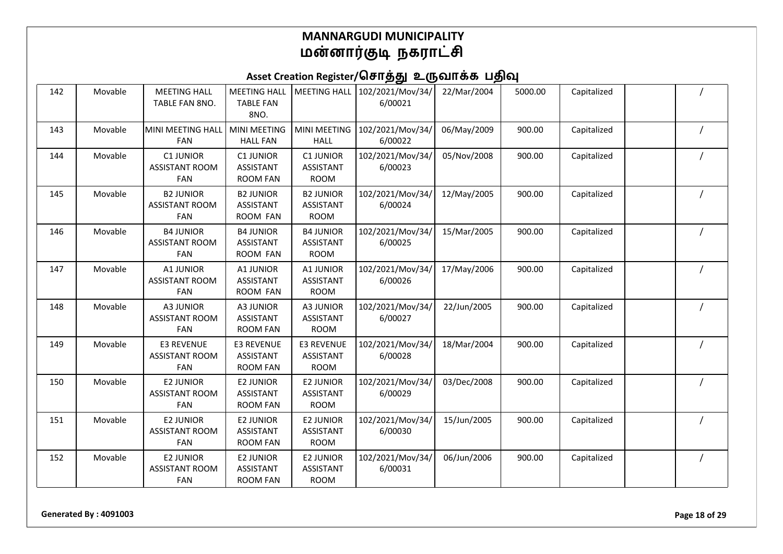| 142 | Movable | <b>MEETING HALL</b><br>TABLE FAN 8NO.                    | <b>MEETING HALL</b><br><b>TABLE FAN</b><br>8NO.          | <b>MEETING HALL</b>                                  | 102/2021/Mov/34/<br>6/00021 | 22/Mar/2004 | 5000.00 | Capitalized |  |
|-----|---------|----------------------------------------------------------|----------------------------------------------------------|------------------------------------------------------|-----------------------------|-------------|---------|-------------|--|
| 143 | Movable | MINI MEETING HALL<br><b>FAN</b>                          | <b>MINI MEETING</b><br><b>HALL FAN</b>                   | <b>MINI MEETING</b><br><b>HALL</b>                   | 102/2021/Mov/34/<br>6/00022 | 06/May/2009 | 900.00  | Capitalized |  |
| 144 | Movable | <b>C1 JUNIOR</b><br><b>ASSISTANT ROOM</b><br><b>FAN</b>  | <b>C1 JUNIOR</b><br><b>ASSISTANT</b><br><b>ROOM FAN</b>  | C1 JUNIOR<br><b>ASSISTANT</b><br><b>ROOM</b>         | 102/2021/Mov/34/<br>6/00023 | 05/Nov/2008 | 900.00  | Capitalized |  |
| 145 | Movable | <b>B2 JUNIOR</b><br><b>ASSISTANT ROOM</b><br><b>FAN</b>  | <b>B2 JUNIOR</b><br><b>ASSISTANT</b><br>ROOM FAN         | <b>B2 JUNIOR</b><br><b>ASSISTANT</b><br><b>ROOM</b>  | 102/2021/Mov/34/<br>6/00024 | 12/May/2005 | 900.00  | Capitalized |  |
| 146 | Movable | <b>B4 JUNIOR</b><br><b>ASSISTANT ROOM</b><br><b>FAN</b>  | <b>B4 JUNIOR</b><br><b>ASSISTANT</b><br>ROOM FAN         | <b>B4 JUNIOR</b><br><b>ASSISTANT</b><br><b>ROOM</b>  | 102/2021/Mov/34/<br>6/00025 | 15/Mar/2005 | 900.00  | Capitalized |  |
| 147 | Movable | A1 JUNIOR<br><b>ASSISTANT ROOM</b><br>FAN                | A1 JUNIOR<br><b>ASSISTANT</b><br>ROOM FAN                | A1 JUNIOR<br><b>ASSISTANT</b><br><b>ROOM</b>         | 102/2021/Mov/34/<br>6/00026 | 17/May/2006 | 900.00  | Capitalized |  |
| 148 | Movable | A3 JUNIOR<br><b>ASSISTANT ROOM</b><br><b>FAN</b>         | A3 JUNIOR<br><b>ASSISTANT</b><br><b>ROOM FAN</b>         | <b>A3 JUNIOR</b><br><b>ASSISTANT</b><br><b>ROOM</b>  | 102/2021/Mov/34/<br>6/00027 | 22/Jun/2005 | 900.00  | Capitalized |  |
| 149 | Movable | <b>E3 REVENUE</b><br><b>ASSISTANT ROOM</b><br><b>FAN</b> | <b>E3 REVENUE</b><br><b>ASSISTANT</b><br><b>ROOM FAN</b> | <b>E3 REVENUE</b><br><b>ASSISTANT</b><br><b>ROOM</b> | 102/2021/Mov/34/<br>6/00028 | 18/Mar/2004 | 900.00  | Capitalized |  |
| 150 | Movable | <b>E2 JUNIOR</b><br><b>ASSISTANT ROOM</b><br><b>FAN</b>  | <b>E2 JUNIOR</b><br><b>ASSISTANT</b><br><b>ROOM FAN</b>  | <b>E2 JUNIOR</b><br><b>ASSISTANT</b><br><b>ROOM</b>  | 102/2021/Mov/34/<br>6/00029 | 03/Dec/2008 | 900.00  | Capitalized |  |
| 151 | Movable | <b>E2 JUNIOR</b><br><b>ASSISTANT ROOM</b><br>FAN         | <b>E2 JUNIOR</b><br><b>ASSISTANT</b><br><b>ROOM FAN</b>  | <b>E2 JUNIOR</b><br><b>ASSISTANT</b><br><b>ROOM</b>  | 102/2021/Mov/34/<br>6/00030 | 15/Jun/2005 | 900.00  | Capitalized |  |
| 152 | Movable | <b>E2 JUNIOR</b><br><b>ASSISTANT ROOM</b><br>FAN         | <b>E2 JUNIOR</b><br><b>ASSISTANT</b><br><b>ROOM FAN</b>  | <b>E2 JUNIOR</b><br><b>ASSISTANT</b><br><b>ROOM</b>  | 102/2021/Mov/34/<br>6/00031 | 06/Jun/2006 | 900.00  | Capitalized |  |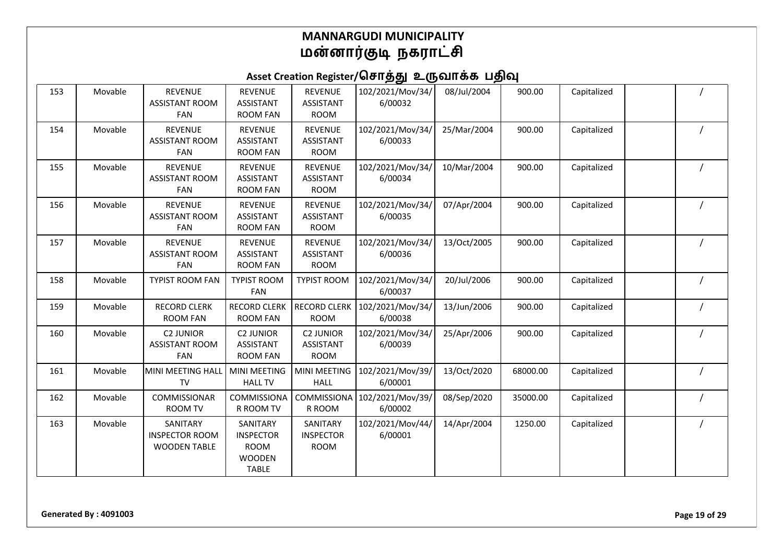# Asset Creation Register/சொத்து உருவாக்க பதிவு

| 153 | Movable | <b>REVENUE</b><br><b>ASSISTANT ROOM</b><br>FAN           | <b>REVENUE</b><br><b>ASSISTANT</b><br><b>ROOM FAN</b>                        | <b>REVENUE</b><br><b>ASSISTANT</b><br><b>ROOM</b>   | 102/2021/Mov/34/<br>6/00032 | 08/Jul/2004 | 900.00   | Capitalized |  |
|-----|---------|----------------------------------------------------------|------------------------------------------------------------------------------|-----------------------------------------------------|-----------------------------|-------------|----------|-------------|--|
| 154 | Movable | <b>REVENUE</b><br><b>ASSISTANT ROOM</b><br><b>FAN</b>    | <b>REVENUE</b><br><b>ASSISTANT</b><br><b>ROOM FAN</b>                        | <b>REVENUE</b><br><b>ASSISTANT</b><br><b>ROOM</b>   | 102/2021/Mov/34/<br>6/00033 | 25/Mar/2004 | 900.00   | Capitalized |  |
| 155 | Movable | <b>REVENUE</b><br><b>ASSISTANT ROOM</b><br><b>FAN</b>    | <b>REVENUE</b><br><b>ASSISTANT</b><br><b>ROOM FAN</b>                        | <b>REVENUE</b><br><b>ASSISTANT</b><br><b>ROOM</b>   | 102/2021/Mov/34/<br>6/00034 | 10/Mar/2004 | 900.00   | Capitalized |  |
| 156 | Movable | <b>REVENUE</b><br><b>ASSISTANT ROOM</b><br>FAN           | <b>REVENUE</b><br><b>ASSISTANT</b><br><b>ROOM FAN</b>                        | <b>REVENUE</b><br><b>ASSISTANT</b><br><b>ROOM</b>   | 102/2021/Mov/34/<br>6/00035 | 07/Apr/2004 | 900.00   | Capitalized |  |
| 157 | Movable | <b>REVENUE</b><br><b>ASSISTANT ROOM</b><br>FAN           | <b>REVENUE</b><br><b>ASSISTANT</b><br><b>ROOM FAN</b>                        | <b>REVENUE</b><br><b>ASSISTANT</b><br><b>ROOM</b>   | 102/2021/Mov/34/<br>6/00036 | 13/Oct/2005 | 900.00   | Capitalized |  |
| 158 | Movable | <b>TYPIST ROOM FAN</b>                                   | <b>TYPIST ROOM</b><br><b>FAN</b>                                             | <b>TYPIST ROOM</b>                                  | 102/2021/Mov/34/<br>6/00037 | 20/Jul/2006 | 900.00   | Capitalized |  |
| 159 | Movable | <b>RECORD CLERK</b><br><b>ROOM FAN</b>                   | <b>RECORD CLERK</b><br><b>ROOM FAN</b>                                       | <b>RECORD CLERK</b><br><b>ROOM</b>                  | 102/2021/Mov/34/<br>6/00038 | 13/Jun/2006 | 900.00   | Capitalized |  |
| 160 | Movable | <b>C2 JUNIOR</b><br><b>ASSISTANT ROOM</b><br>FAN         | <b>C2 JUNIOR</b><br><b>ASSISTANT</b><br><b>ROOM FAN</b>                      | <b>C2 JUNIOR</b><br><b>ASSISTANT</b><br><b>ROOM</b> | 102/2021/Mov/34/<br>6/00039 | 25/Apr/2006 | 900.00   | Capitalized |  |
| 161 | Movable | MINI MEETING HALL<br>TV                                  | MINI MEETING<br><b>HALL TV</b>                                               | MINI MEETING<br><b>HALL</b>                         | 102/2021/Mov/39/<br>6/00001 | 13/Oct/2020 | 68000.00 | Capitalized |  |
| 162 | Movable | COMMISSIONAR<br><b>ROOM TV</b>                           | COMMISSIONA<br>R ROOM TV                                                     | COMMISSIONA<br>R ROOM                               | 102/2021/Mov/39/<br>6/00002 | 08/Sep/2020 | 35000.00 | Capitalized |  |
| 163 | Movable | SANITARY<br><b>INSPECTOR ROOM</b><br><b>WOODEN TABLE</b> | SANITARY<br><b>INSPECTOR</b><br><b>ROOM</b><br><b>WOODEN</b><br><b>TABLE</b> | SANITARY<br><b>INSPECTOR</b><br><b>ROOM</b>         | 102/2021/Mov/44/<br>6/00001 | 14/Apr/2004 | 1250.00  | Capitalized |  |

**Generated By : 4091003 Page 19 of 29**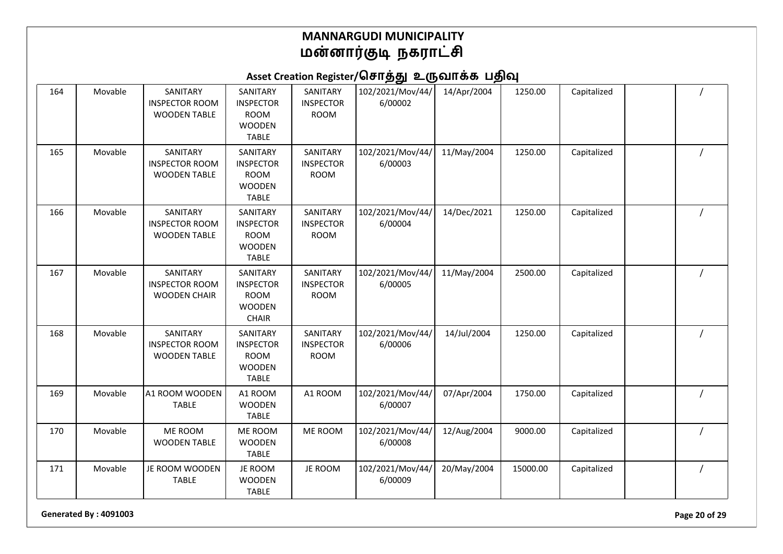### Asset Creation Register/சொத்து உருவாக்க பதிவு

| 164 | Movable | SANITARY<br><b>INSPECTOR ROOM</b><br><b>WOODEN TABLE</b> | SANITARY<br><b>INSPECTOR</b><br><b>ROOM</b><br><b>WOODEN</b><br><b>TABLE</b> | SANITARY<br><b>INSPECTOR</b><br><b>ROOM</b> | 102/2021/Mov/44/<br>6/00002 | 14/Apr/2004 | 1250.00  | Capitalized |  |
|-----|---------|----------------------------------------------------------|------------------------------------------------------------------------------|---------------------------------------------|-----------------------------|-------------|----------|-------------|--|
| 165 | Movable | SANITARY<br><b>INSPECTOR ROOM</b><br><b>WOODEN TABLE</b> | SANITARY<br><b>INSPECTOR</b><br><b>ROOM</b><br><b>WOODEN</b><br><b>TABLE</b> | SANITARY<br><b>INSPECTOR</b><br><b>ROOM</b> | 102/2021/Mov/44/<br>6/00003 | 11/May/2004 | 1250.00  | Capitalized |  |
| 166 | Movable | SANITARY<br><b>INSPECTOR ROOM</b><br><b>WOODEN TABLE</b> | SANITARY<br><b>INSPECTOR</b><br><b>ROOM</b><br><b>WOODEN</b><br><b>TABLE</b> | SANITARY<br><b>INSPECTOR</b><br><b>ROOM</b> | 102/2021/Mov/44/<br>6/00004 | 14/Dec/2021 | 1250.00  | Capitalized |  |
| 167 | Movable | SANITARY<br><b>INSPECTOR ROOM</b><br><b>WOODEN CHAIR</b> | SANITARY<br><b>INSPECTOR</b><br><b>ROOM</b><br><b>WOODEN</b><br><b>CHAIR</b> | SANITARY<br><b>INSPECTOR</b><br><b>ROOM</b> | 102/2021/Mov/44/<br>6/00005 | 11/May/2004 | 2500.00  | Capitalized |  |
| 168 | Movable | SANITARY<br><b>INSPECTOR ROOM</b><br><b>WOODEN TABLE</b> | SANITARY<br><b>INSPECTOR</b><br><b>ROOM</b><br><b>WOODEN</b><br><b>TABLE</b> | SANITARY<br><b>INSPECTOR</b><br><b>ROOM</b> | 102/2021/Mov/44/<br>6/00006 | 14/Jul/2004 | 1250.00  | Capitalized |  |
| 169 | Movable | A1 ROOM WOODEN<br><b>TABLE</b>                           | A1 ROOM<br><b>WOODEN</b><br><b>TABLE</b>                                     | A1 ROOM                                     | 102/2021/Mov/44/<br>6/00007 | 07/Apr/2004 | 1750.00  | Capitalized |  |
| 170 | Movable | ME ROOM<br><b>WOODEN TABLE</b>                           | ME ROOM<br><b>WOODEN</b><br><b>TABLE</b>                                     | ME ROOM                                     | 102/2021/Mov/44/<br>6/00008 | 12/Aug/2004 | 9000.00  | Capitalized |  |
| 171 | Movable | JE ROOM WOODEN<br><b>TABLE</b>                           | JE ROOM<br><b>WOODEN</b><br><b>TABLE</b>                                     | JE ROOM                                     | 102/2021/Mov/44/<br>6/00009 | 20/May/2004 | 15000.00 | Capitalized |  |

**Generated By : 4091003 Page 20 of 29**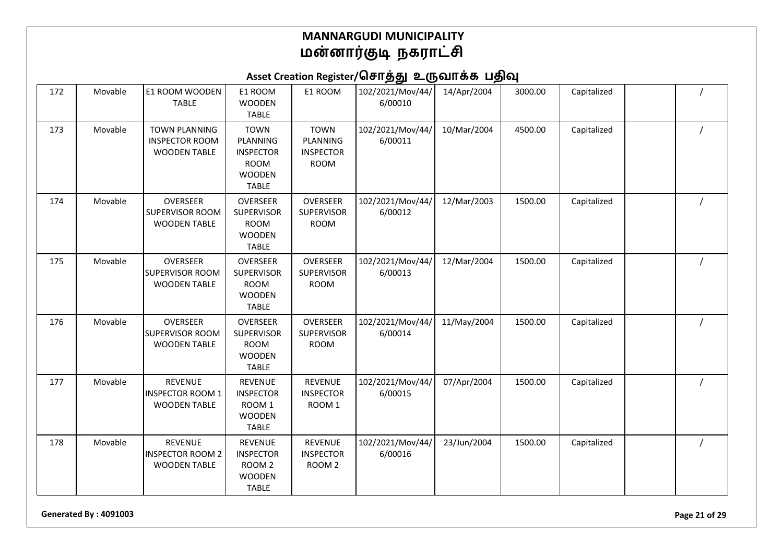Asset Creation Register/சொத்து உருவாக்க பதிவு

| 172 | Movable | <b>E1 ROOM WOODEN</b><br><b>TABLE</b>                                | E1 ROOM<br><b>WOODEN</b><br><b>TABLE</b>                                                    | E1 ROOM                                                    | 102/2021/Mov/44/<br>6/00010 | 14/Apr/2004 | 3000.00 | Capitalized |  |
|-----|---------|----------------------------------------------------------------------|---------------------------------------------------------------------------------------------|------------------------------------------------------------|-----------------------------|-------------|---------|-------------|--|
| 173 | Movable | <b>TOWN PLANNING</b><br><b>INSPECTOR ROOM</b><br><b>WOODEN TABLE</b> | <b>TOWN</b><br>PLANNING<br><b>INSPECTOR</b><br><b>ROOM</b><br><b>WOODEN</b><br><b>TABLE</b> | <b>TOWN</b><br>PLANNING<br><b>INSPECTOR</b><br><b>ROOM</b> | 102/2021/Mov/44/<br>6/00011 | 10/Mar/2004 | 4500.00 | Capitalized |  |
| 174 | Movable | <b>OVERSEER</b><br><b>SUPERVISOR ROOM</b><br><b>WOODEN TABLE</b>     | OVERSEER<br><b>SUPERVISOR</b><br><b>ROOM</b><br><b>WOODEN</b><br><b>TABLE</b>               | <b>OVERSEER</b><br><b>SUPERVISOR</b><br><b>ROOM</b>        | 102/2021/Mov/44/<br>6/00012 | 12/Mar/2003 | 1500.00 | Capitalized |  |
| 175 | Movable | <b>OVERSEER</b><br><b>SUPERVISOR ROOM</b><br><b>WOODEN TABLE</b>     | OVERSEER<br><b>SUPERVISOR</b><br><b>ROOM</b><br><b>WOODEN</b><br><b>TABLE</b>               | <b>OVERSEER</b><br><b>SUPERVISOR</b><br><b>ROOM</b>        | 102/2021/Mov/44/<br>6/00013 | 12/Mar/2004 | 1500.00 | Capitalized |  |
| 176 | Movable | OVERSEER<br><b>SUPERVISOR ROOM</b><br><b>WOODEN TABLE</b>            | <b>OVERSEER</b><br><b>SUPERVISOR</b><br><b>ROOM</b><br><b>WOODEN</b><br><b>TABLE</b>        | OVERSEER<br><b>SUPERVISOR</b><br><b>ROOM</b>               | 102/2021/Mov/44/<br>6/00014 | 11/May/2004 | 1500.00 | Capitalized |  |
| 177 | Movable | <b>REVENUE</b><br><b>INSPECTOR ROOM 1</b><br><b>WOODEN TABLE</b>     | <b>REVENUE</b><br><b>INSPECTOR</b><br>ROOM <sub>1</sub><br><b>WOODEN</b><br><b>TABLE</b>    | <b>REVENUE</b><br><b>INSPECTOR</b><br>ROOM 1               | 102/2021/Mov/44/<br>6/00015 | 07/Apr/2004 | 1500.00 | Capitalized |  |
| 178 | Movable | <b>REVENUE</b><br><b>INSPECTOR ROOM 2</b><br><b>WOODEN TABLE</b>     | <b>REVENUE</b><br><b>INSPECTOR</b><br>ROOM <sub>2</sub><br><b>WOODEN</b><br><b>TABLE</b>    | <b>REVENUE</b><br><b>INSPECTOR</b><br>ROOM <sub>2</sub>    | 102/2021/Mov/44/<br>6/00016 | 23/Jun/2004 | 1500.00 | Capitalized |  |

**Generated By : 4091003 Page 21 of 29**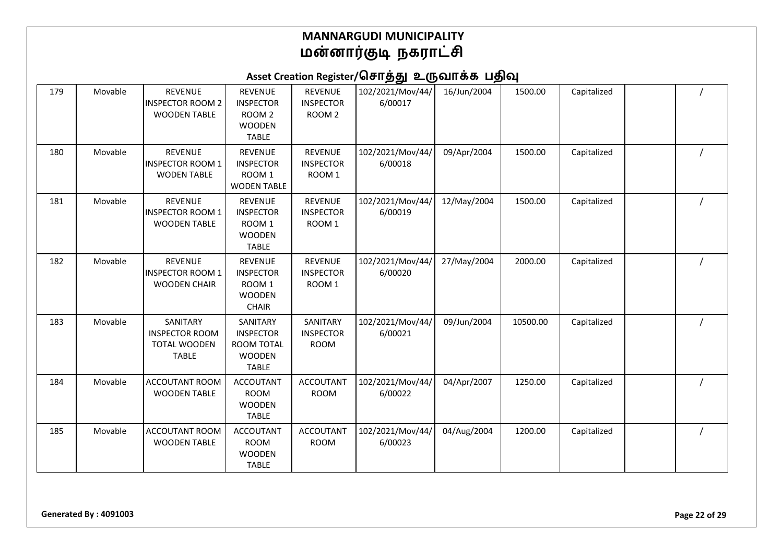| 179 | Movable | <b>REVENUE</b><br><b>INSPECTOR ROOM 2</b><br><b>WOODEN TABLE</b>         | <b>REVENUE</b><br><b>INSPECTOR</b><br>ROOM <sub>2</sub><br><b>WOODEN</b><br><b>TABLE</b> | <b>REVENUE</b><br><b>INSPECTOR</b><br>ROOM <sub>2</sub> | 102/2021/Mov/44/<br>6/00017 | 16/Jun/2004 | 1500.00  | Capitalized |  |
|-----|---------|--------------------------------------------------------------------------|------------------------------------------------------------------------------------------|---------------------------------------------------------|-----------------------------|-------------|----------|-------------|--|
| 180 | Movable | <b>REVENUE</b><br><b>INSPECTOR ROOM 1</b><br><b>WODEN TABLE</b>          | <b>REVENUE</b><br><b>INSPECTOR</b><br>ROOM <sub>1</sub><br><b>WODEN TABLE</b>            | <b>REVENUE</b><br><b>INSPECTOR</b><br>ROOM 1            | 102/2021/Mov/44/<br>6/00018 | 09/Apr/2004 | 1500.00  | Capitalized |  |
| 181 | Movable | <b>REVENUE</b><br><b>INSPECTOR ROOM 1</b><br><b>WOODEN TABLE</b>         | <b>REVENUE</b><br><b>INSPECTOR</b><br>ROOM <sub>1</sub><br><b>WOODEN</b><br><b>TABLE</b> | <b>REVENUE</b><br><b>INSPECTOR</b><br>ROOM 1            | 102/2021/Mov/44/<br>6/00019 | 12/May/2004 | 1500.00  | Capitalized |  |
| 182 | Movable | <b>REVENUE</b><br><b>INSPECTOR ROOM 1</b><br><b>WOODEN CHAIR</b>         | <b>REVENUE</b><br><b>INSPECTOR</b><br>ROOM <sub>1</sub><br><b>WOODEN</b><br><b>CHAIR</b> | <b>REVENUE</b><br><b>INSPECTOR</b><br>ROOM <sub>1</sub> | 102/2021/Mov/44/<br>6/00020 | 27/May/2004 | 2000.00  | Capitalized |  |
| 183 | Movable | SANITARY<br><b>INSPECTOR ROOM</b><br><b>TOTAL WOODEN</b><br><b>TABLE</b> | SANITARY<br><b>INSPECTOR</b><br><b>ROOM TOTAL</b><br><b>WOODEN</b><br><b>TABLE</b>       | SANITARY<br><b>INSPECTOR</b><br><b>ROOM</b>             | 102/2021/Mov/44/<br>6/00021 | 09/Jun/2004 | 10500.00 | Capitalized |  |
| 184 | Movable | <b>ACCOUTANT ROOM</b><br><b>WOODEN TABLE</b>                             | <b>ACCOUTANT</b><br><b>ROOM</b><br><b>WOODEN</b><br><b>TABLE</b>                         | <b>ACCOUTANT</b><br><b>ROOM</b>                         | 102/2021/Mov/44/<br>6/00022 | 04/Apr/2007 | 1250.00  | Capitalized |  |
| 185 | Movable | ACCOUTANT ROOM<br><b>WOODEN TABLE</b>                                    | <b>ACCOUTANT</b><br><b>ROOM</b><br><b>WOODEN</b><br><b>TABLE</b>                         | <b>ACCOUTANT</b><br><b>ROOM</b>                         | 102/2021/Mov/44/<br>6/00023 | 04/Aug/2004 | 1200.00  | Capitalized |  |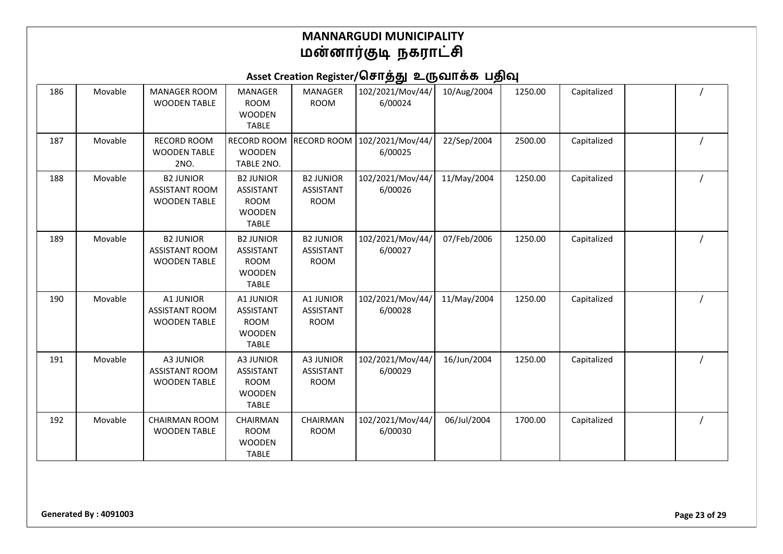| 186 | Movable | <b>MANAGER ROOM</b><br><b>WOODEN TABLE</b>                       | <b>MANAGER</b><br><b>ROOM</b><br><b>WOODEN</b><br><b>TABLE</b>                       | <b>MANAGER</b><br><b>ROOM</b>                       | 102/2021/Mov/44/<br>6/00024 | 10/Aug/2004 | 1250.00 | Capitalized |  |
|-----|---------|------------------------------------------------------------------|--------------------------------------------------------------------------------------|-----------------------------------------------------|-----------------------------|-------------|---------|-------------|--|
| 187 | Movable | <b>RECORD ROOM</b><br><b>WOODEN TABLE</b><br>2NO.                | RECORD ROOM<br><b>WOODEN</b><br>TABLE 2NO.                                           | <b>RECORD ROOM</b>                                  | 102/2021/Mov/44/<br>6/00025 | 22/Sep/2004 | 2500.00 | Capitalized |  |
| 188 | Movable | <b>B2 JUNIOR</b><br><b>ASSISTANT ROOM</b><br><b>WOODEN TABLE</b> | <b>B2 JUNIOR</b><br><b>ASSISTANT</b><br><b>ROOM</b><br><b>WOODEN</b><br><b>TABLE</b> | <b>B2 JUNIOR</b><br><b>ASSISTANT</b><br><b>ROOM</b> | 102/2021/Mov/44/<br>6/00026 | 11/May/2004 | 1250.00 | Capitalized |  |
| 189 | Movable | <b>B2 JUNIOR</b><br><b>ASSISTANT ROOM</b><br><b>WOODEN TABLE</b> | <b>B2 JUNIOR</b><br>ASSISTANT<br><b>ROOM</b><br><b>WOODEN</b><br><b>TABLE</b>        | <b>B2 JUNIOR</b><br>ASSISTANT<br><b>ROOM</b>        | 102/2021/Mov/44/<br>6/00027 | 07/Feb/2006 | 1250.00 | Capitalized |  |
| 190 | Movable | A1 JUNIOR<br><b>ASSISTANT ROOM</b><br><b>WOODEN TABLE</b>        | A1 JUNIOR<br><b>ASSISTANT</b><br><b>ROOM</b><br><b>WOODEN</b><br><b>TABLE</b>        | A1 JUNIOR<br><b>ASSISTANT</b><br><b>ROOM</b>        | 102/2021/Mov/44/<br>6/00028 | 11/May/2004 | 1250.00 | Capitalized |  |
| 191 | Movable | A3 JUNIOR<br><b>ASSISTANT ROOM</b><br><b>WOODEN TABLE</b>        | A3 JUNIOR<br><b>ASSISTANT</b><br><b>ROOM</b><br><b>WOODEN</b><br><b>TABLE</b>        | A3 JUNIOR<br><b>ASSISTANT</b><br><b>ROOM</b>        | 102/2021/Mov/44/<br>6/00029 | 16/Jun/2004 | 1250.00 | Capitalized |  |
| 192 | Movable | <b>CHAIRMAN ROOM</b><br><b>WOODEN TABLE</b>                      | <b>CHAIRMAN</b><br><b>ROOM</b><br><b>WOODEN</b><br><b>TABLE</b>                      | <b>CHAIRMAN</b><br><b>ROOM</b>                      | 102/2021/Mov/44/<br>6/00030 | 06/Jul/2004 | 1700.00 | Capitalized |  |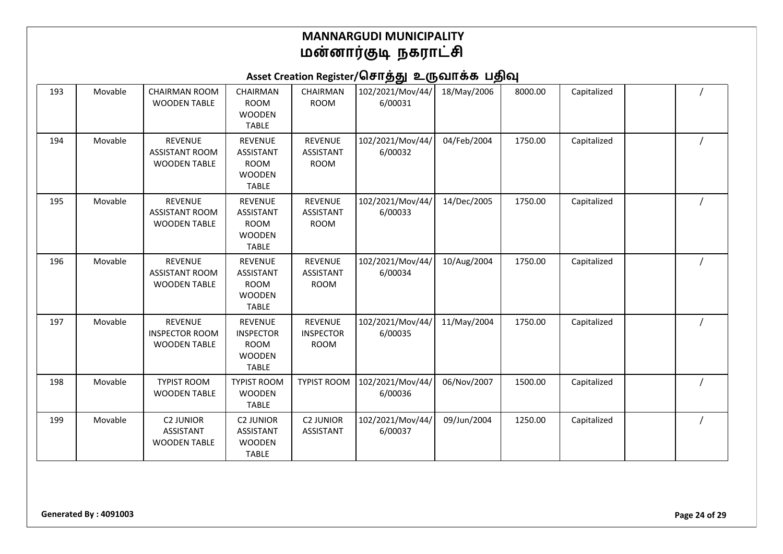| 193 | Movable | <b>CHAIRMAN ROOM</b><br><b>WOODEN TABLE</b>                    | CHAIRMAN<br><b>ROOM</b><br><b>WOODEN</b><br><b>TABLE</b>                           | CHAIRMAN<br><b>ROOM</b>                           | 102/2021/Mov/44/<br>6/00031 | 18/May/2006 | 8000.00 | Capitalized |  |
|-----|---------|----------------------------------------------------------------|------------------------------------------------------------------------------------|---------------------------------------------------|-----------------------------|-------------|---------|-------------|--|
| 194 | Movable | <b>REVENUE</b><br><b>ASSISTANT ROOM</b><br><b>WOODEN TABLE</b> | <b>REVENUE</b><br>ASSISTANT<br><b>ROOM</b><br><b>WOODEN</b><br><b>TABLE</b>        | <b>REVENUE</b><br><b>ASSISTANT</b><br><b>ROOM</b> | 102/2021/Mov/44/<br>6/00032 | 04/Feb/2004 | 1750.00 | Capitalized |  |
| 195 | Movable | <b>REVENUE</b><br><b>ASSISTANT ROOM</b><br><b>WOODEN TABLE</b> | <b>REVENUE</b><br><b>ASSISTANT</b><br><b>ROOM</b><br><b>WOODEN</b><br><b>TABLE</b> | <b>REVENUE</b><br><b>ASSISTANT</b><br><b>ROOM</b> | 102/2021/Mov/44/<br>6/00033 | 14/Dec/2005 | 1750.00 | Capitalized |  |
| 196 | Movable | <b>REVENUE</b><br><b>ASSISTANT ROOM</b><br><b>WOODEN TABLE</b> | <b>REVENUE</b><br>ASSISTANT<br><b>ROOM</b><br><b>WOODEN</b><br><b>TABLE</b>        | <b>REVENUE</b><br><b>ASSISTANT</b><br><b>ROOM</b> | 102/2021/Mov/44/<br>6/00034 | 10/Aug/2004 | 1750.00 | Capitalized |  |
| 197 | Movable | <b>REVENUE</b><br><b>INSPECTOR ROOM</b><br><b>WOODEN TABLE</b> | <b>REVENUE</b><br><b>INSPECTOR</b><br><b>ROOM</b><br><b>WOODEN</b><br><b>TABLE</b> | <b>REVENUE</b><br><b>INSPECTOR</b><br><b>ROOM</b> | 102/2021/Mov/44/<br>6/00035 | 11/May/2004 | 1750.00 | Capitalized |  |
| 198 | Movable | <b>TYPIST ROOM</b><br><b>WOODEN TABLE</b>                      | <b>TYPIST ROOM</b><br><b>WOODEN</b><br><b>TABLE</b>                                | <b>TYPIST ROOM</b>                                | 102/2021/Mov/44/<br>6/00036 | 06/Nov/2007 | 1500.00 | Capitalized |  |
| 199 | Movable | <b>C2 JUNIOR</b><br>ASSISTANT<br><b>WOODEN TABLE</b>           | <b>C2 JUNIOR</b><br><b>ASSISTANT</b><br><b>WOODEN</b><br><b>TABLE</b>              | <b>C2 JUNIOR</b><br><b>ASSISTANT</b>              | 102/2021/Mov/44/<br>6/00037 | 09/Jun/2004 | 1250.00 | Capitalized |  |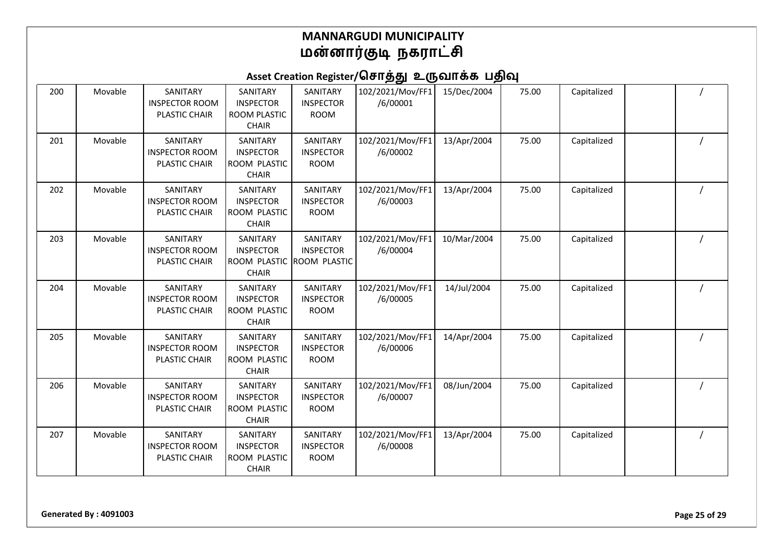### Asset Creation Register/சொத்து உருவாக்க பதிவு

| 200 | Movable | SANITARY<br><b>INSPECTOR ROOM</b><br>PLASTIC CHAIR        | SANITARY<br><b>INSPECTOR</b><br>ROOM PLASTIC<br><b>CHAIR</b> | SANITARY<br><b>INSPECTOR</b><br><b>ROOM</b>         | 102/2021/Mov/FF1<br>/6/00001 | 15/Dec/2004 | 75.00 | Capitalized |  |
|-----|---------|-----------------------------------------------------------|--------------------------------------------------------------|-----------------------------------------------------|------------------------------|-------------|-------|-------------|--|
| 201 | Movable | SANITARY<br><b>INSPECTOR ROOM</b><br>PLASTIC CHAIR        | SANITARY<br><b>INSPECTOR</b><br>ROOM PLASTIC<br><b>CHAIR</b> | SANITARY<br><b>INSPECTOR</b><br><b>ROOM</b>         | 102/2021/Mov/FF1<br>/6/00002 | 13/Apr/2004 | 75.00 | Capitalized |  |
| 202 | Movable | SANITARY<br><b>INSPECTOR ROOM</b><br>PLASTIC CHAIR        | SANITARY<br><b>INSPECTOR</b><br>ROOM PLASTIC<br><b>CHAIR</b> | SANITARY<br><b>INSPECTOR</b><br><b>ROOM</b>         | 102/2021/Mov/FF1<br>/6/00003 | 13/Apr/2004 | 75.00 | Capitalized |  |
| 203 | Movable | SANITARY<br><b>INSPECTOR ROOM</b><br>PLASTIC CHAIR        | SANITARY<br><b>INSPECTOR</b><br>ROOM PLASTIC<br><b>CHAIR</b> | SANITARY<br><b>INSPECTOR</b><br><b>ROOM PLASTIC</b> | 102/2021/Mov/FF1<br>/6/00004 | 10/Mar/2004 | 75.00 | Capitalized |  |
| 204 | Movable | SANITARY<br><b>INSPECTOR ROOM</b><br>PLASTIC CHAIR        | SANITARY<br><b>INSPECTOR</b><br>ROOM PLASTIC<br><b>CHAIR</b> | SANITARY<br><b>INSPECTOR</b><br><b>ROOM</b>         | 102/2021/Mov/FF1<br>/6/00005 | 14/Jul/2004 | 75.00 | Capitalized |  |
| 205 | Movable | SANITARY<br><b>INSPECTOR ROOM</b><br>PLASTIC CHAIR        | SANITARY<br><b>INSPECTOR</b><br>ROOM PLASTIC<br><b>CHAIR</b> | SANITARY<br><b>INSPECTOR</b><br><b>ROOM</b>         | 102/2021/Mov/FF1<br>/6/00006 | 14/Apr/2004 | 75.00 | Capitalized |  |
| 206 | Movable | SANITARY<br><b>INSPECTOR ROOM</b><br><b>PLASTIC CHAIR</b> | SANITARY<br><b>INSPECTOR</b><br>ROOM PLASTIC<br><b>CHAIR</b> | SANITARY<br><b>INSPECTOR</b><br><b>ROOM</b>         | 102/2021/Mov/FF1<br>/6/00007 | 08/Jun/2004 | 75.00 | Capitalized |  |
| 207 | Movable | SANITARY<br><b>INSPECTOR ROOM</b><br>PLASTIC CHAIR        | SANITARY<br><b>INSPECTOR</b><br>ROOM PLASTIC<br><b>CHAIR</b> | SANITARY<br><b>INSPECTOR</b><br><b>ROOM</b>         | 102/2021/Mov/FF1<br>/6/00008 | 13/Apr/2004 | 75.00 | Capitalized |  |

**Generated By : 4091003 Page 25 of 29**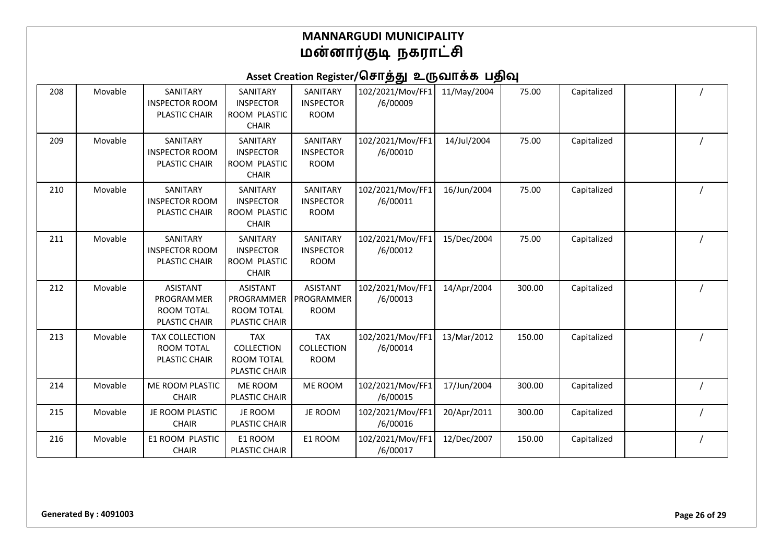| 208 | Movable | SANITARY<br><b>INSPECTOR ROOM</b><br>PLASTIC CHAIR                  | SANITARY<br><b>INSPECTOR</b><br>ROOM PLASTIC<br><b>CHAIR</b>          | SANITARY<br><b>INSPECTOR</b><br><b>ROOM</b>  | 102/2021/Mov/FF1<br>/6/00009 | 11/May/2004 | 75.00  | Capitalized |  |
|-----|---------|---------------------------------------------------------------------|-----------------------------------------------------------------------|----------------------------------------------|------------------------------|-------------|--------|-------------|--|
| 209 | Movable | SANITARY<br><b>INSPECTOR ROOM</b><br>PLASTIC CHAIR                  | SANITARY<br><b>INSPECTOR</b><br>ROOM PLASTIC<br><b>CHAIR</b>          | SANITARY<br><b>INSPECTOR</b><br><b>ROOM</b>  | 102/2021/Mov/FF1<br>/6/00010 | 14/Jul/2004 | 75.00  | Capitalized |  |
| 210 | Movable | SANITARY<br><b>INSPECTOR ROOM</b><br>PLASTIC CHAIR                  | SANITARY<br><b>INSPECTOR</b><br>ROOM PLASTIC<br><b>CHAIR</b>          | SANITARY<br><b>INSPECTOR</b><br><b>ROOM</b>  | 102/2021/Mov/FF1<br>/6/00011 | 16/Jun/2004 | 75.00  | Capitalized |  |
| 211 | Movable | SANITARY<br><b>INSPECTOR ROOM</b><br>PLASTIC CHAIR                  | SANITARY<br><b>INSPECTOR</b><br>ROOM PLASTIC<br><b>CHAIR</b>          | SANITARY<br><b>INSPECTOR</b><br><b>ROOM</b>  | 102/2021/Mov/FF1<br>/6/00012 | 15/Dec/2004 | 75.00  | Capitalized |  |
| 212 | Movable | <b>ASISTANT</b><br>PROGRAMMER<br><b>ROOM TOTAL</b><br>PLASTIC CHAIR | <b>ASISTANT</b><br>PROGRAMMER<br>ROOM TOTAL<br>PLASTIC CHAIR          | <b>ASISTANT</b><br>PROGRAMMER<br><b>ROOM</b> | 102/2021/Mov/FF1<br>/6/00013 | 14/Apr/2004 | 300.00 | Capitalized |  |
| 213 | Movable | <b>TAX COLLECTION</b><br>ROOM TOTAL<br>PLASTIC CHAIR                | <b>TAX</b><br>COLLECTION<br><b>ROOM TOTAL</b><br><b>PLASTIC CHAIR</b> | <b>TAX</b><br>COLLECTION<br><b>ROOM</b>      | 102/2021/Mov/FF1<br>/6/00014 | 13/Mar/2012 | 150.00 | Capitalized |  |
| 214 | Movable | <b>ME ROOM PLASTIC</b><br><b>CHAIR</b>                              | ME ROOM<br><b>PLASTIC CHAIR</b>                                       | ME ROOM                                      | 102/2021/Mov/FF1<br>/6/00015 | 17/Jun/2004 | 300.00 | Capitalized |  |
| 215 | Movable | JE ROOM PLASTIC<br><b>CHAIR</b>                                     | JE ROOM<br>PLASTIC CHAIR                                              | JE ROOM                                      | 102/2021/Mov/FF1<br>/6/00016 | 20/Apr/2011 | 300.00 | Capitalized |  |
| 216 | Movable | E1 ROOM PLASTIC<br><b>CHAIR</b>                                     | E1 ROOM<br>PLASTIC CHAIR                                              | E1 ROOM                                      | 102/2021/Mov/FF1<br>/6/00017 | 12/Dec/2007 | 150.00 | Capitalized |  |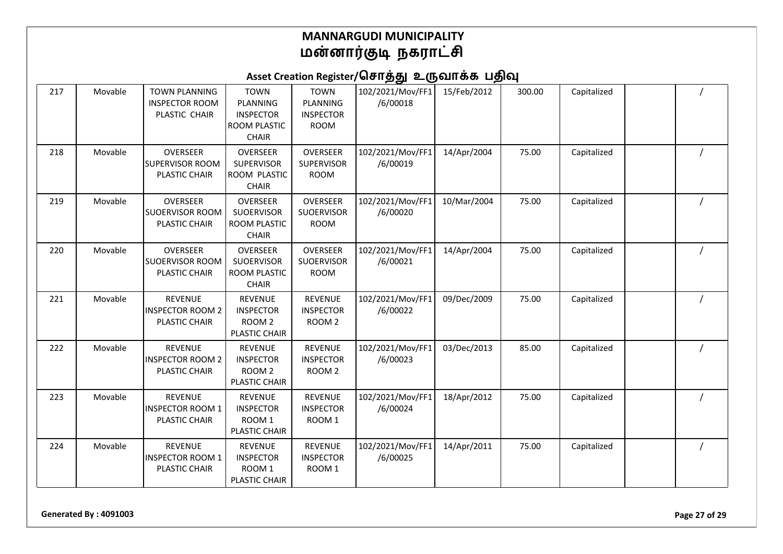### Asset Creation Register/சொத்து உருவாக்க பதிவு

| 217 | Movable | <b>TOWN PLANNING</b><br><b>INSPECTOR ROOM</b><br>PLASTIC CHAIR | <b>TOWN</b><br>PLANNING<br><b>INSPECTOR</b><br>ROOM PLASTIC<br><b>CHAIR</b> | <b>TOWN</b><br>PLANNING<br><b>INSPECTOR</b><br><b>ROOM</b> | 102/2021/Mov/FF1<br>/6/00018 | 15/Feb/2012 | 300.00 | Capitalized |  |
|-----|---------|----------------------------------------------------------------|-----------------------------------------------------------------------------|------------------------------------------------------------|------------------------------|-------------|--------|-------------|--|
| 218 | Movable | OVERSEER<br><b>SUPERVISOR ROOM</b><br>PLASTIC CHAIR            | <b>OVERSEER</b><br><b>SUPERVISOR</b><br>ROOM PLASTIC<br><b>CHAIR</b>        | <b>OVERSEER</b><br><b>SUPERVISOR</b><br><b>ROOM</b>        | 102/2021/Mov/FF1<br>/6/00019 | 14/Apr/2004 | 75.00  | Capitalized |  |
| 219 | Movable | OVERSEER<br>SUOERVISOR ROOM<br>PLASTIC CHAIR                   | <b>OVERSEER</b><br><b>SUOERVISOR</b><br>ROOM PLASTIC<br><b>CHAIR</b>        | <b>OVERSEER</b><br>SUOERVISOR<br><b>ROOM</b>               | 102/2021/Mov/FF1<br>/6/00020 | 10/Mar/2004 | 75.00  | Capitalized |  |
| 220 | Movable | OVERSEER<br><b>SUOERVISOR ROOM</b><br>PLASTIC CHAIR            | OVERSEER<br><b>SUOERVISOR</b><br>ROOM PLASTIC<br><b>CHAIR</b>               | <b>OVERSEER</b><br>SUOERVISOR<br><b>ROOM</b>               | 102/2021/Mov/FF1<br>/6/00021 | 14/Apr/2004 | 75.00  | Capitalized |  |
| 221 | Movable | <b>REVENUE</b><br><b>INSPECTOR ROOM 2</b><br>PLASTIC CHAIR     | <b>REVENUE</b><br><b>INSPECTOR</b><br>ROOM <sub>2</sub><br>PLASTIC CHAIR    | <b>REVENUE</b><br><b>INSPECTOR</b><br>ROOM <sub>2</sub>    | 102/2021/Mov/FF1<br>/6/00022 | 09/Dec/2009 | 75.00  | Capitalized |  |
| 222 | Movable | <b>REVENUE</b><br><b>INSPECTOR ROOM 2</b><br>PLASTIC CHAIR     | <b>REVENUE</b><br><b>INSPECTOR</b><br>ROOM <sub>2</sub><br>PLASTIC CHAIR    | <b>REVENUE</b><br><b>INSPECTOR</b><br>ROOM <sub>2</sub>    | 102/2021/Mov/FF1<br>/6/00023 | 03/Dec/2013 | 85.00  | Capitalized |  |
| 223 | Movable | <b>REVENUE</b><br><b>INSPECTOR ROOM 1</b><br>PLASTIC CHAIR     | <b>REVENUE</b><br><b>INSPECTOR</b><br>ROOM 1<br>PLASTIC CHAIR               | <b>REVENUE</b><br><b>INSPECTOR</b><br>ROOM 1               | 102/2021/Mov/FF1<br>/6/00024 | 18/Apr/2012 | 75.00  | Capitalized |  |
| 224 | Movable | <b>REVENUE</b><br><b>INSPECTOR ROOM 1</b><br>PLASTIC CHAIR     | <b>REVENUE</b><br><b>INSPECTOR</b><br>ROOM 1<br>PLASTIC CHAIR               | <b>REVENUE</b><br><b>INSPECTOR</b><br>ROOM 1               | 102/2021/Mov/FF1<br>/6/00025 | 14/Apr/2011 | 75.00  | Capitalized |  |

**Generated By : 4091003 Page 27 of 29**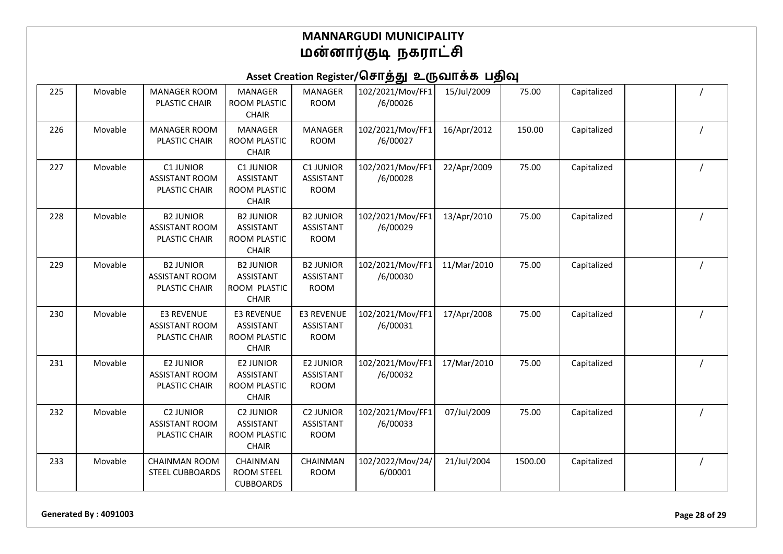# Asset Creation Register/சொத்து உருவாக்க பதிவு

| 225 | Movable | <b>MANAGER ROOM</b><br>PLASTIC CHAIR                       | <b>MANAGER</b><br>ROOM PLASTIC<br><b>CHAIR</b>                        | <b>MANAGER</b><br><b>ROOM</b>                       | 102/2021/Mov/FF1<br>/6/00026 | 15/Jul/2009 | 75.00   | Capitalized |  |
|-----|---------|------------------------------------------------------------|-----------------------------------------------------------------------|-----------------------------------------------------|------------------------------|-------------|---------|-------------|--|
| 226 | Movable | <b>MANAGER ROOM</b><br>PLASTIC CHAIR                       | <b>MANAGER</b><br>ROOM PLASTIC<br><b>CHAIR</b>                        | <b>MANAGER</b><br><b>ROOM</b>                       | 102/2021/Mov/FF1<br>/6/00027 | 16/Apr/2012 | 150.00  | Capitalized |  |
| 227 | Movable | C1 JUNIOR<br><b>ASSISTANT ROOM</b><br>PLASTIC CHAIR        | C1 JUNIOR<br><b>ASSISTANT</b><br>ROOM PLASTIC<br><b>CHAIR</b>         | <b>C1 JUNIOR</b><br><b>ASSISTANT</b><br><b>ROOM</b> | 102/2021/Mov/FF1<br>/6/00028 | 22/Apr/2009 | 75.00   | Capitalized |  |
| 228 | Movable | <b>B2 JUNIOR</b><br><b>ASSISTANT ROOM</b><br>PLASTIC CHAIR | <b>B2 JUNIOR</b><br><b>ASSISTANT</b><br>ROOM PLASTIC<br><b>CHAIR</b>  | <b>B2 JUNIOR</b><br><b>ASSISTANT</b><br><b>ROOM</b> | 102/2021/Mov/FF1<br>/6/00029 | 13/Apr/2010 | 75.00   | Capitalized |  |
| 229 | Movable | <b>B2 JUNIOR</b><br><b>ASSISTANT ROOM</b><br>PLASTIC CHAIR | <b>B2 JUNIOR</b><br><b>ASSISTANT</b><br>ROOM PLASTIC<br><b>CHAIR</b>  | <b>B2 JUNIOR</b><br><b>ASSISTANT</b><br><b>ROOM</b> | 102/2021/Mov/FF1<br>/6/00030 | 11/Mar/2010 | 75.00   | Capitalized |  |
| 230 | Movable | E3 REVENUE<br><b>ASSISTANT ROOM</b><br>PLASTIC CHAIR       | <b>E3 REVENUE</b><br><b>ASSISTANT</b><br>ROOM PLASTIC<br><b>CHAIR</b> | <b>E3 REVENUE</b><br>ASSISTANT<br><b>ROOM</b>       | 102/2021/Mov/FF1<br>/6/00031 | 17/Apr/2008 | 75.00   | Capitalized |  |
| 231 | Movable | <b>E2 JUNIOR</b><br><b>ASSISTANT ROOM</b><br>PLASTIC CHAIR | <b>E2 JUNIOR</b><br><b>ASSISTANT</b><br>ROOM PLASTIC<br><b>CHAIR</b>  | <b>E2 JUNIOR</b><br><b>ASSISTANT</b><br><b>ROOM</b> | 102/2021/Mov/FF1<br>/6/00032 | 17/Mar/2010 | 75.00   | Capitalized |  |
| 232 | Movable | <b>C2 JUNIOR</b><br><b>ASSISTANT ROOM</b><br>PLASTIC CHAIR | <b>C2 JUNIOR</b><br><b>ASSISTANT</b><br>ROOM PLASTIC<br><b>CHAIR</b>  | <b>C2 JUNIOR</b><br><b>ASSISTANT</b><br><b>ROOM</b> | 102/2021/Mov/FF1<br>/6/00033 | 07/Jul/2009 | 75.00   | Capitalized |  |
| 233 | Movable | <b>CHAINMAN ROOM</b><br><b>STEEL CUBBOARDS</b>             | CHAINMAN<br><b>ROOM STEEL</b><br><b>CUBBOARDS</b>                     | CHAINMAN<br><b>ROOM</b>                             | 102/2022/Mov/24/<br>6/00001  | 21/Jul/2004 | 1500.00 | Capitalized |  |

**Generated By : 4091003 Page 28 of 29**